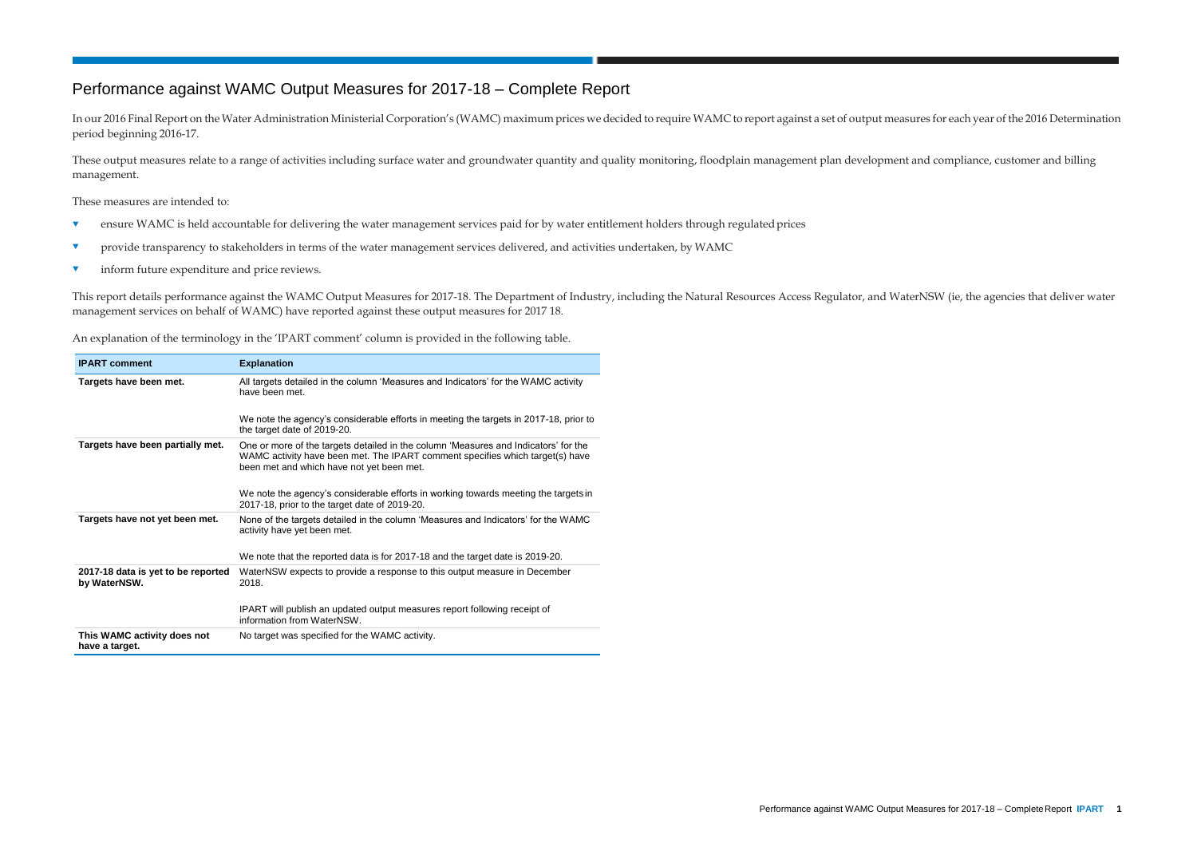## Performance against WAMC Output Measures for 2017-18 – Complete Report

In our 2016 Final Report on the Water Administration Ministerial Corporation's (WAMC) maximum prices we decided to require WAMC to report against a set of output measures for each year of the 2016 Determination period beginning 2016-17.

These output measures relate to a range of activities including surface water and groundwater quantity and quality monitoring, floodplain management plan development and compliance, customer and billing management.

These measures are intended to:

- **T** ensure WAMC is held accountable for delivering the water management services paid for by water entitlement holders through regulated prices
- **v** provide transparency to stakeholders in terms of the water management services delivered, and activities undertaken, by WAMC
- **v** inform future expenditure and price reviews.

This report details performance against the WAMC Output Measures for 2017-18. The Department of Industry, including the Natural Resources Access Regulator, and WaterNSW (ie, the agencies that deliver water management services on behalf of WAMC) have reported against these output measures for 2017 18.

An explanation of the terminology in the 'IPART comment' column is provided in the following table.

| <b>IPART comment</b>                               | <b>Explanation</b>                                                                                                                                                                                                |
|----------------------------------------------------|-------------------------------------------------------------------------------------------------------------------------------------------------------------------------------------------------------------------|
| Targets have been met.                             | All targets detailed in the column 'Measures and Indicators' for the WAMC activity<br>have been met.                                                                                                              |
|                                                    | We note the agency's considerable efforts in meeting the targets in 2017-18, prior to<br>the target date of 2019-20.                                                                                              |
| Targets have been partially met.                   | One or more of the targets detailed in the column 'Measures and Indicators' for the<br>WAMC activity have been met. The IPART comment specifies which target(s) have<br>been met and which have not yet been met. |
|                                                    | We note the agency's considerable efforts in working towards meeting the targets in<br>2017-18, prior to the target date of 2019-20.                                                                              |
| Targets have not yet been met.                     | None of the targets detailed in the column 'Measures and Indicators' for the WAMC<br>activity have yet been met.                                                                                                  |
|                                                    | We note that the reported data is for 2017-18 and the target date is 2019-20.                                                                                                                                     |
| 2017-18 data is yet to be reported<br>by WaterNSW. | WaterNSW expects to provide a response to this output measure in December<br>2018.                                                                                                                                |
|                                                    | IPART will publish an updated output measures report following receipt of<br>information from WaterNSW.                                                                                                           |
| This WAMC activity does not<br>have a target.      | No target was specified for the WAMC activity.                                                                                                                                                                    |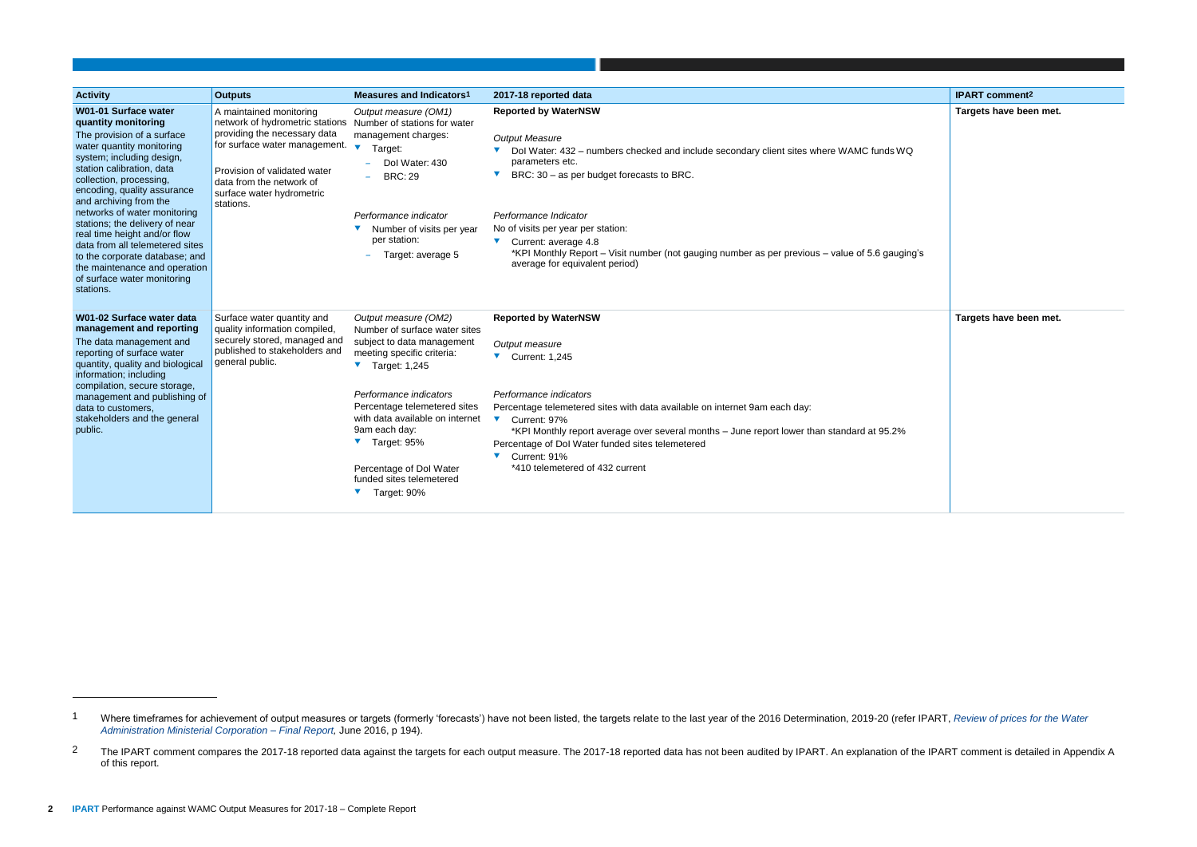| <b>Activity</b>                                                                                                                                                                                                                                                                                                                                                                                                                                                                                          | <b>Outputs</b>                                                                                                                                                                                                                                                           | Measures and Indicators <sup>1</sup>                                                                                                                                                                                                                                                                                                                       | 2017-18 reported data                                                                                                                                                                                                                                                                                                                                                                                                                                                                      | <b>IPART</b> comment <sup>2</sup> |
|----------------------------------------------------------------------------------------------------------------------------------------------------------------------------------------------------------------------------------------------------------------------------------------------------------------------------------------------------------------------------------------------------------------------------------------------------------------------------------------------------------|--------------------------------------------------------------------------------------------------------------------------------------------------------------------------------------------------------------------------------------------------------------------------|------------------------------------------------------------------------------------------------------------------------------------------------------------------------------------------------------------------------------------------------------------------------------------------------------------------------------------------------------------|--------------------------------------------------------------------------------------------------------------------------------------------------------------------------------------------------------------------------------------------------------------------------------------------------------------------------------------------------------------------------------------------------------------------------------------------------------------------------------------------|-----------------------------------|
| W01-01 Surface water<br>quantity monitoring<br>The provision of a surface<br>water quantity monitoring<br>system; including design,<br>station calibration, data<br>collection, processing,<br>encoding, quality assurance<br>and archiving from the<br>networks of water monitoring<br>stations; the delivery of near<br>real time height and/or flow<br>data from all telemetered sites<br>to the corporate database; and<br>the maintenance and operation<br>of surface water monitoring<br>stations. | A maintained monitoring<br>network of hydrometric stations Number of stations for water<br>providing the necessary data<br>for surface water management. $\bullet$<br>Provision of validated water<br>data from the network of<br>surface water hydrometric<br>stations. | Output measure (OM1)<br>management charges:<br>Target:<br>Dol Water: 430<br><b>BRC: 29</b><br>Performance indicator<br>Number of visits per year<br>per station:<br>Target: average 5<br>$\overline{\phantom{0}}$                                                                                                                                          | <b>Reported by WaterNSW</b><br><b>Output Measure</b><br>▼ Dol Water: 432 - numbers checked and include secondary client sites where WAMC funds WQ<br>parameters etc.<br>BRC: 30 - as per budget forecasts to BRC.<br>$\blacktriangledown$<br>Performance Indicator<br>No of visits per year per station:<br>$\blacktriangledown$ Current: average 4.8<br>*KPI Monthly Report – Visit number (not gauging number as per previous – value of 5.6 gauging's<br>average for equivalent period) | <b>Targets have bee</b>           |
| W01-02 Surface water data<br>management and reporting<br>The data management and<br>reporting of surface water<br>quantity, quality and biological<br>information; including<br>compilation, secure storage,<br>management and publishing of<br>data to customers,<br>stakeholders and the general<br>public.                                                                                                                                                                                            | Surface water quantity and<br>quality information compiled,<br>securely stored, managed and<br>published to stakeholders and<br>general public.                                                                                                                          | Output measure (OM2)<br>Number of surface water sites<br>subject to data management<br>meeting specific criteria:<br>$\blacktriangledown$ Target: 1,245<br>Performance indicators<br>Percentage telemetered sites<br>with data available on internet<br>9am each day:<br>Target: 95%<br>Percentage of Dol Water<br>funded sites telemetered<br>Target: 90% | <b>Reported by WaterNSW</b><br>Output measure<br>Current: 1,245<br>Performance indicators<br>Percentage telemetered sites with data available on internet 9am each day:<br>$\blacktriangledown$<br>Current: 97%<br>*KPI Monthly report average over several months - June report lower than standard at 95.2%<br>Percentage of Dol Water funded sites telemetered<br>Current: 91%<br>$\blacktriangledown$<br>*410 telemetered of 432 current                                               | <b>Targets have bee</b>           |

<span id="page-1-0"></span>

|        | <b>IPART comment<sup>2</sup></b> |
|--------|----------------------------------|
| Q      | Targets have been met.           |
| ing's  |                                  |
| .<br>C | Targets have been met.           |

<sup>1</sup> Where timeframes for achievement of output measures or targets (formerly 'forecasts') have not been listed, the targets relate to the last year of the 2016 Determination, 2019-20 (refer IPART, Review of prices for the Wa *[Administration Ministerial Corporation –](https://www.ipart.nsw.gov.au/files/sharedassets/website/shared-files/investigation-legislative-requirements-water-bulk-water-water-administration-ministerial-corporation-nsw-office-of-water-pricing-review-commencing-1-july-2016/final_report_-_review_of_prices_for_the_water_administration_ministerial_corporation_-_from_1_july_2016.pdf) Final Report,* June 2016, p 194).

<sup>&</sup>lt;sup>2</sup> The IPART comment compares the 2017-18 reported data against the targets for each output measure. The 2017-18 reported data has not been audited by IPART. An explanation of the IPART comment is detailed in Appendix A of this report.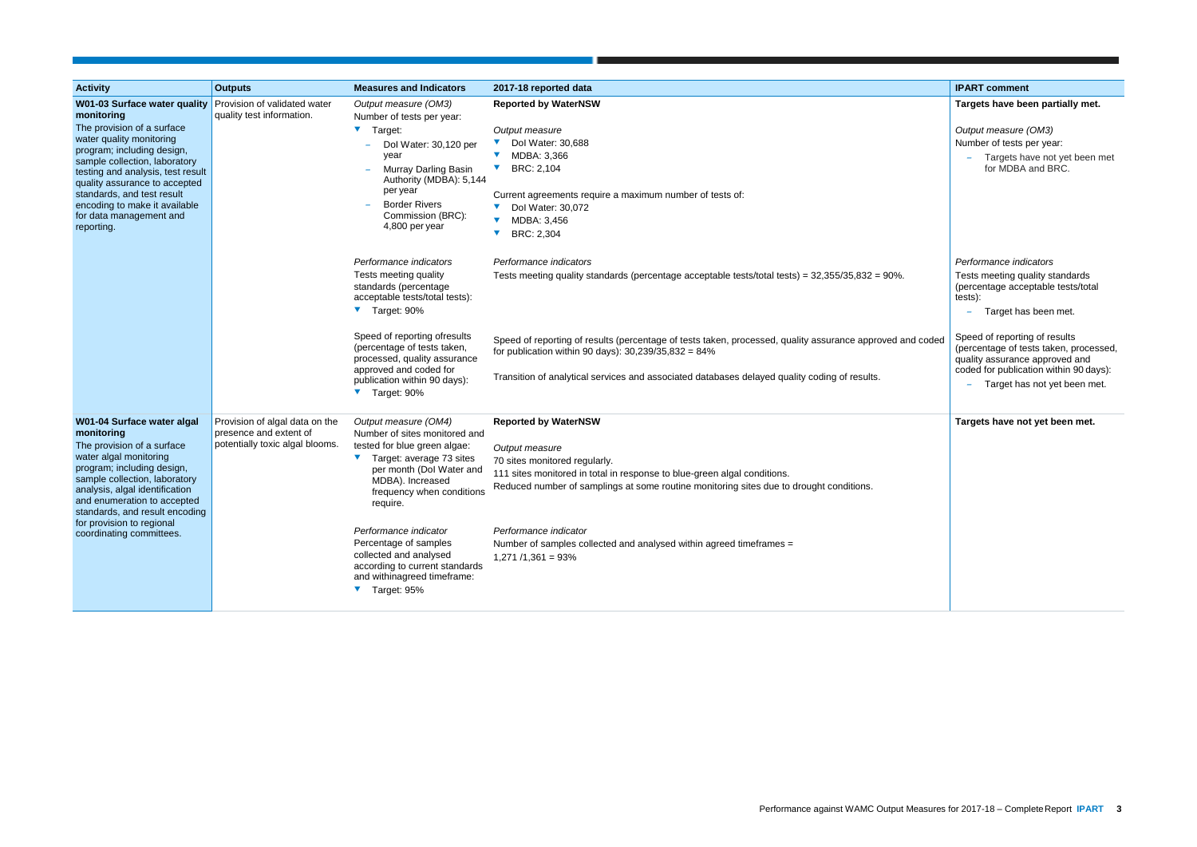| <b>Activity</b>                                                                                                                                                                                                                                                                                                             | <b>Outputs</b>                                                                              | <b>Measures and Indicators</b>                                                                                                                                                                                                                                                                                                                                           | 2017-18 reported data                                                                                                                                                                                                                                                                                                                                                                               | <b>IPART</b> comment                                                                                                                                                                                                                                                                      |
|-----------------------------------------------------------------------------------------------------------------------------------------------------------------------------------------------------------------------------------------------------------------------------------------------------------------------------|---------------------------------------------------------------------------------------------|--------------------------------------------------------------------------------------------------------------------------------------------------------------------------------------------------------------------------------------------------------------------------------------------------------------------------------------------------------------------------|-----------------------------------------------------------------------------------------------------------------------------------------------------------------------------------------------------------------------------------------------------------------------------------------------------------------------------------------------------------------------------------------------------|-------------------------------------------------------------------------------------------------------------------------------------------------------------------------------------------------------------------------------------------------------------------------------------------|
| <b>W01-03 Surface water quality Provision of validated water</b><br>monitoring                                                                                                                                                                                                                                              | quality test information.                                                                   | Output measure (OM3)<br>Number of tests per year:                                                                                                                                                                                                                                                                                                                        | <b>Reported by WaterNSW</b>                                                                                                                                                                                                                                                                                                                                                                         | Targets have been partially met.                                                                                                                                                                                                                                                          |
| The provision of a surface<br>water quality monitoring<br>program; including design,<br>sample collection, laboratory<br>testing and analysis, test result<br>quality assurance to accepted<br>standards, and test result<br>encoding to make it available<br>for data management and<br>reporting.                         |                                                                                             | V Target:<br>Dol Water: 30,120 per<br>year<br>Murray Darling Basin<br>Authority (MDBA): 5,144<br>per year<br><b>Border Rivers</b><br>Commission (BRC):<br>4,800 per year                                                                                                                                                                                                 | Output measure<br>Dol Water: 30,688<br>MDBA: 3,366<br>BRC: 2,104<br>Current agreements require a maximum number of tests of:<br>Dol Water: 30,072<br>MDBA: 3,456<br>BRC: 2,304                                                                                                                                                                                                                      | Output measure (OM3)<br>Number of tests per year:<br>Targets have not yet been met<br>for MDBA and BRC.                                                                                                                                                                                   |
|                                                                                                                                                                                                                                                                                                                             |                                                                                             | Performance indicators<br>Tests meeting quality<br>standards (percentage<br>acceptable tests/total tests):<br>▼ Target: 90%<br>Speed of reporting ofresults<br>(percentage of tests taken,<br>processed, quality assurance<br>approved and coded for<br>publication within 90 days):                                                                                     | Performance indicators<br>Tests meeting quality standards (percentage acceptable tests/total tests) = 32,355/35,832 = 90%.<br>Speed of reporting of results (percentage of tests taken, processed, quality assurance approved and coded<br>for publication within 90 days): $30,239/35,832 = 84\%$<br>Transition of analytical services and associated databases delayed quality coding of results. | Performance indicators<br>Tests meeting quality standards<br>(percentage acceptable tests/total<br>tests):<br>Target has been met.<br>Speed of reporting of results<br>(percentage of tests taken, processed,<br>quality assurance approved and<br>coded for publication within 90 days): |
|                                                                                                                                                                                                                                                                                                                             |                                                                                             | Target: 90%                                                                                                                                                                                                                                                                                                                                                              |                                                                                                                                                                                                                                                                                                                                                                                                     | Target has not yet been met.                                                                                                                                                                                                                                                              |
| W01-04 Surface water algal<br>monitoring<br>The provision of a surface<br>water algal monitoring<br>program; including design,<br>sample collection, laboratory<br>analysis, algal identification<br>and enumeration to accepted<br>standards, and result encoding<br>for provision to regional<br>coordinating committees. | Provision of algal data on the<br>presence and extent of<br>potentially toxic algal blooms. | Output measure (OM4)<br>Number of sites monitored and<br>tested for blue green algae:<br>Target: average 73 sites<br>per month (Dol Water and<br>MDBA). Increased<br>frequency when conditions<br>require.<br>Performance indicator<br>Percentage of samples<br>collected and analysed<br>according to current standards<br>and withinagreed timeframe:<br>▼ Target: 95% | <b>Reported by WaterNSW</b><br>Output measure<br>70 sites monitored regularly.<br>111 sites monitored in total in response to blue-green algal conditions.<br>Reduced number of samplings at some routine monitoring sites due to drought conditions.<br>Performance indicator<br>Number of samples collected and analysed within agreed timeframes =<br>$1,271/1,361 = 93\%$                       | Targets have not yet been met.                                                                                                                                                                                                                                                            |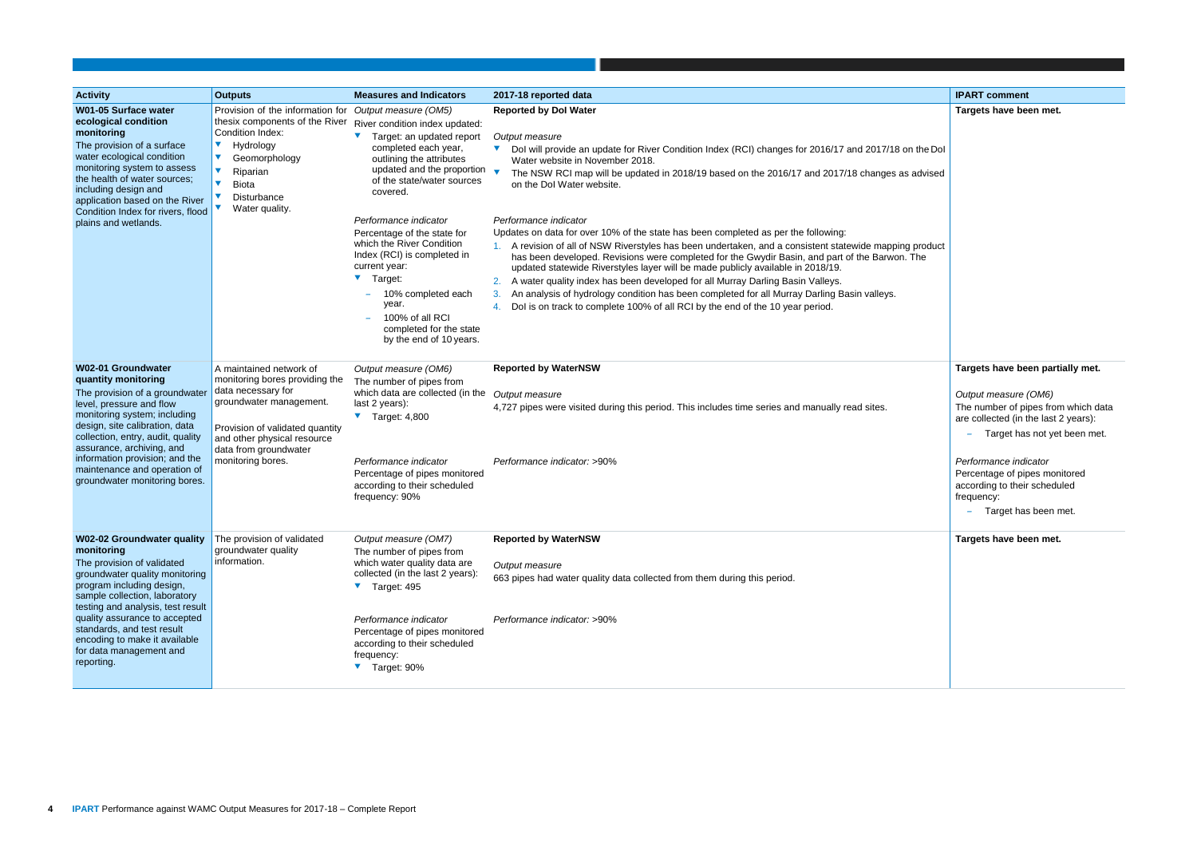| <b>Activity</b>                                                                                                                                                                                                                                                                                                                                             | <b>Outputs</b>                                                                                                                                                                                                                    | <b>Measures and Indicators</b>                                                                                                                                                                                                                                                                                                                                                                                                                                          | 2017-18 reported data                                                                                                                                                                                                                                                                                                                                                                                                                                                                                                                                                                                                                                                                                                                                                                                                                                                                                                                                                                                                          | <b>IPART comment</b>                                                                                                                                                                                                               |
|-------------------------------------------------------------------------------------------------------------------------------------------------------------------------------------------------------------------------------------------------------------------------------------------------------------------------------------------------------------|-----------------------------------------------------------------------------------------------------------------------------------------------------------------------------------------------------------------------------------|-------------------------------------------------------------------------------------------------------------------------------------------------------------------------------------------------------------------------------------------------------------------------------------------------------------------------------------------------------------------------------------------------------------------------------------------------------------------------|--------------------------------------------------------------------------------------------------------------------------------------------------------------------------------------------------------------------------------------------------------------------------------------------------------------------------------------------------------------------------------------------------------------------------------------------------------------------------------------------------------------------------------------------------------------------------------------------------------------------------------------------------------------------------------------------------------------------------------------------------------------------------------------------------------------------------------------------------------------------------------------------------------------------------------------------------------------------------------------------------------------------------------|------------------------------------------------------------------------------------------------------------------------------------------------------------------------------------------------------------------------------------|
| W01-05 Surface water<br>ecological condition<br>monitoring<br>The provision of a surface<br>water ecological condition<br>monitoring system to assess<br>the health of water sources;<br>including design and<br>application based on the River<br>Condition Index for rivers, flood<br>plains and wetlands.                                                | Provision of the information for<br>thesix components of the River<br>Condition Index:<br>$\blacktriangledown$<br>Hydrology<br>$\blacktriangledown$<br>Geomorphology<br>Riparian<br><b>Biota</b><br>Disturbance<br>Water quality. | Output measure (OM5)<br>River condition index updated:<br>Target: an updated report<br>completed each year,<br>outlining the attributes<br>updated and the proportion<br>of the state/water sources<br>covered.<br>Performance indicator<br>Percentage of the state for<br>which the River Condition<br>Index (RCI) is completed in<br>current year:<br>Target:<br>10% completed each<br>year.<br>100% of all RCI<br>completed for the state<br>by the end of 10 years. | <b>Reported by Dol Water</b><br>Output measure<br>V<br>Dol will provide an update for River Condition Index (RCI) changes for 2016/17 and 2017/18 on the Dol<br>Water website in November 2018.<br>The NSW RCI map will be updated in 2018/19 based on the 2016/17 and 2017/18 changes as advised<br>on the Dol Water website.<br>Performance indicator<br>Updates on data for over 10% of the state has been completed as per the following:<br>1. A revision of all of NSW Riverstyles has been undertaken, and a consistent statewide mapping product<br>has been developed. Revisions were completed for the Gwydir Basin, and part of the Barwon. The<br>updated statewide Riverstyles layer will be made publicly available in 2018/19.<br>2. A water quality index has been developed for all Murray Darling Basin Valleys.<br>An analysis of hydrology condition has been completed for all Murray Darling Basin valleys.<br>3.<br>Dol is on track to complete 100% of all RCI by the end of the 10 year period.<br>4. | Targets have been m                                                                                                                                                                                                                |
| <b>W02-01 Groundwater</b><br>quantity monitoring<br>The provision of a groundwater<br>level, pressure and flow<br>monitoring system; including<br>design, site calibration, data<br>collection, entry, audit, quality<br>assurance, archiving, and<br>information provision; and the<br>maintenance and operation of<br>groundwater monitoring bores.       | A maintained network of<br>monitoring bores providing the<br>data necessary for<br>groundwater management.<br>Provision of validated quantity<br>and other physical resource<br>data from groundwater<br>monitoring bores.        | Output measure (OM6)<br>The number of pipes from<br>which data are collected (in the<br>last 2 years):<br>Target: 4,800<br>Performance indicator<br>Percentage of pipes monitored<br>according to their scheduled<br>frequency: 90%                                                                                                                                                                                                                                     | <b>Reported by WaterNSW</b><br>Output measure<br>4,727 pipes were visited during this period. This includes time series and manually read sites.<br>Performance indicator: >90%                                                                                                                                                                                                                                                                                                                                                                                                                                                                                                                                                                                                                                                                                                                                                                                                                                                | Targets have been pa<br>Output measure (OM6<br>The number of pipes fr<br>are collected (in the las<br>Target has not<br>Performance indicator<br>Percentage of pipes m<br>according to their sche<br>frequency:<br>Target has beer |
| <b>W02-02 Groundwater quality</b><br>monitoring<br>The provision of validated<br>groundwater quality monitoring<br>program including design,<br>sample collection, laboratory<br>testing and analysis, test result<br>quality assurance to accepted<br>standards, and test result<br>encoding to make it available<br>for data management and<br>reporting. | The provision of validated<br>groundwater quality<br>information.                                                                                                                                                                 | Output measure (OM7)<br>The number of pipes from<br>which water quality data are<br>collected (in the last 2 years):<br>Target: 495<br>Performance indicator<br>Percentage of pipes monitored<br>according to their scheduled<br>frequency:<br>▼ Target: 90%                                                                                                                                                                                                            | <b>Reported by WaterNSW</b><br>Output measure<br>663 pipes had water quality data collected from them during this period.<br>Performance indicator: >90%                                                                                                                                                                                                                                                                                                                                                                                                                                                                                                                                                                                                                                                                                                                                                                                                                                                                       | Targets have been m                                                                                                                                                                                                                |

|                     | <b>IPART comment</b>                       |
|---------------------|--------------------------------------------|
|                     | Targets have been met.                     |
|                     |                                            |
| on the Dol          |                                            |
| s advised           |                                            |
|                     |                                            |
|                     |                                            |
|                     |                                            |
|                     |                                            |
| g product<br>ı. The |                                            |
|                     |                                            |
|                     |                                            |
|                     |                                            |
|                     |                                            |
|                     |                                            |
|                     |                                            |
|                     | Targets have been partially met.           |
|                     | Output measure (OM6)                       |
|                     | The number of pipes from which data        |
|                     | are collected (in the last 2 years):       |
|                     | Target has not yet been met.               |
|                     | Performance indicator                      |
|                     | Percentage of pipes monitored              |
|                     | according to their scheduled<br>frequency: |
|                     | Target has been met.                       |
|                     |                                            |
|                     | Targets have been met.                     |
|                     |                                            |
|                     |                                            |
|                     |                                            |
|                     |                                            |
|                     |                                            |
|                     |                                            |
|                     |                                            |
|                     |                                            |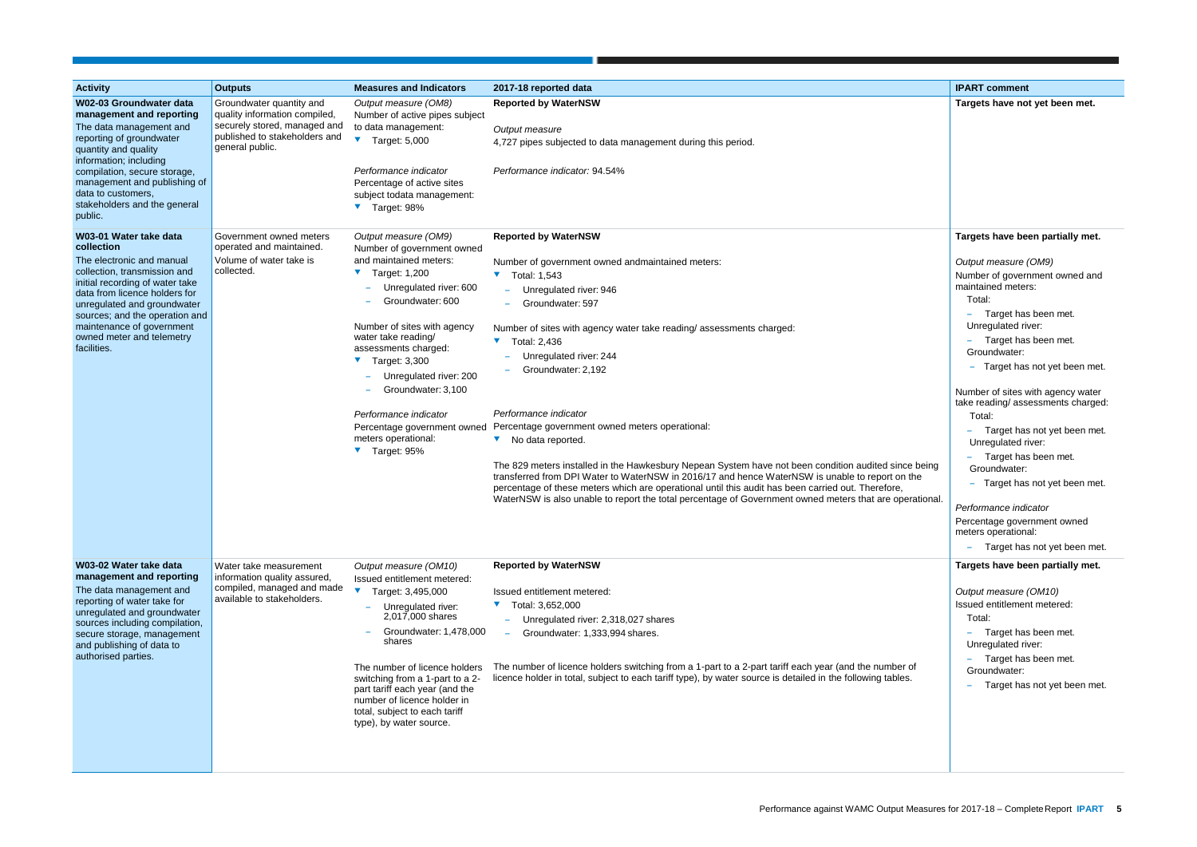| <b>Activity</b>                                                                                                                                                                                                                                                                                                 | <b>Outputs</b>                                                                                                                                | <b>Measures and Indicators</b>                                                                                                                                                                                                                                                                                                                                                                                                       | 2017-18 reported data                                                                                                                                                                                                                                                                                                                                                                                                                                                                                                                                                                                                                                                                                                                                                                                                                                        | <b>IPART comment</b>                                                                                                                                                                                                                                                                                                                                                                                                                                                                                                                                                                      |
|-----------------------------------------------------------------------------------------------------------------------------------------------------------------------------------------------------------------------------------------------------------------------------------------------------------------|-----------------------------------------------------------------------------------------------------------------------------------------------|--------------------------------------------------------------------------------------------------------------------------------------------------------------------------------------------------------------------------------------------------------------------------------------------------------------------------------------------------------------------------------------------------------------------------------------|--------------------------------------------------------------------------------------------------------------------------------------------------------------------------------------------------------------------------------------------------------------------------------------------------------------------------------------------------------------------------------------------------------------------------------------------------------------------------------------------------------------------------------------------------------------------------------------------------------------------------------------------------------------------------------------------------------------------------------------------------------------------------------------------------------------------------------------------------------------|-------------------------------------------------------------------------------------------------------------------------------------------------------------------------------------------------------------------------------------------------------------------------------------------------------------------------------------------------------------------------------------------------------------------------------------------------------------------------------------------------------------------------------------------------------------------------------------------|
| W02-03 Groundwater data<br>management and reporting<br>The data management and<br>reporting of groundwater<br>quantity and quality<br>information; including<br>compilation, secure storage,<br>management and publishing of<br>data to customers,<br>stakeholders and the general<br>public.                   | Groundwater quantity and<br>quality information compiled,<br>securely stored, managed and<br>published to stakeholders and<br>general public. | Output measure (OM8)<br>Number of active pipes subject<br>to data management:<br>$\blacktriangledown$ Target: 5,000<br>Performance indicator<br>Percentage of active sites<br>subject todata management:<br>▼ Target: 98%                                                                                                                                                                                                            | <b>Reported by WaterNSW</b><br>Output measure<br>4,727 pipes subjected to data management during this period.<br>Performance indicator: 94.54%                                                                                                                                                                                                                                                                                                                                                                                                                                                                                                                                                                                                                                                                                                               | Targets have not yet been met.                                                                                                                                                                                                                                                                                                                                                                                                                                                                                                                                                            |
| W03-01 Water take data<br>collection<br>The electronic and manual<br>collection, transmission and<br>initial recording of water take<br>data from licence holders for<br>unregulated and groundwater<br>sources; and the operation and<br>maintenance of government<br>owned meter and telemetry<br>facilities. | Government owned meters<br>operated and maintained.<br>Volume of water take is<br>collected.                                                  | Output measure (OM9)<br>Number of government owned<br>and maintained meters:<br>$\blacktriangledown$ Target: 1,200<br>Unregulated river: 600<br>Groundwater: 600<br>Number of sites with agency<br>water take reading/<br>assessments charged:<br>$\blacktriangledown$ Target: 3,300<br>Unregulated river: 200<br>Groundwater: 3,100<br>Performance indicator<br>Percentage government owned<br>meters operational:<br>▼ Target: 95% | <b>Reported by WaterNSW</b><br>Number of government owned andmaintained meters:<br>$\blacktriangledown$ Total: 1,543<br>Unregulated river: 946<br>Groundwater: 597<br>Number of sites with agency water take reading/assessments charged:<br>$\blacktriangledown$ Total: 2,436<br>Unregulated river: 244<br>Groundwater: 2,192<br>Performance indicator<br>Percentage government owned meters operational:<br>▼ No data reported.<br>The 829 meters installed in the Hawkesbury Nepean System have not been condition audited since being<br>transferred from DPI Water to WaterNSW in 2016/17 and hence WaterNSW is unable to report on the<br>percentage of these meters which are operational until this audit has been carried out. Therefore,<br>WaterNSW is also unable to report the total percentage of Government owned meters that are operational | Targets have been partially met.<br>Output measure (OM9)<br>Number of government owned and<br>maintained meters:<br>Total:<br>Target has been met.<br>Unregulated river:<br>Target has been met.<br>Groundwater:<br>- Target has not yet been met.<br>Number of sites with agency water<br>take reading/ assessments charged:<br>Total:<br>Target has not yet been met.<br>Unregulated river:<br>Target has been met.<br>Groundwater:<br>Target has not yet been met.<br>Performance indicator<br>Percentage government owned<br>meters operational:<br>Target has not yet been met.<br>÷ |
| W03-02 Water take data<br>management and reporting<br>The data management and<br>reporting of water take for<br>unregulated and groundwater<br>sources including compilation,<br>secure storage, management<br>and publishing of data to<br>authorised parties.                                                 | Water take measurement<br>information quality assured,<br>compiled, managed and made<br>available to stakeholders.                            | Output measure (OM10)<br>Issued entitlement metered:<br>Target: 3,495,000<br>- Unregulated river:<br>2,017,000 shares<br>Groundwater: 1,478,000<br>shares<br>The number of licence holders<br>switching from a 1-part to a 2-<br>part tariff each year (and the<br>number of licence holder in<br>total, subject to each tariff<br>type), by water source.                                                                           | <b>Reported by WaterNSW</b><br>Issued entitlement metered:<br>$\blacktriangledown$ Total: 3,652,000<br>- Unregulated river: 2,318,027 shares<br>Groundwater: 1,333,994 shares.<br>The number of licence holders switching from a 1-part to a 2-part tariff each year (and the number of<br>licence holder in total, subject to each tariff type), by water source is detailed in the following tables.                                                                                                                                                                                                                                                                                                                                                                                                                                                       | Targets have been partially met.<br>Output measure (OM10)<br>Issued entitlement metered:<br>Total:<br>Target has been met.<br>Unregulated river:<br>Target has been met.<br>Groundwater:<br>Target has not yet been met.<br>÷                                                                                                                                                                                                                                                                                                                                                             |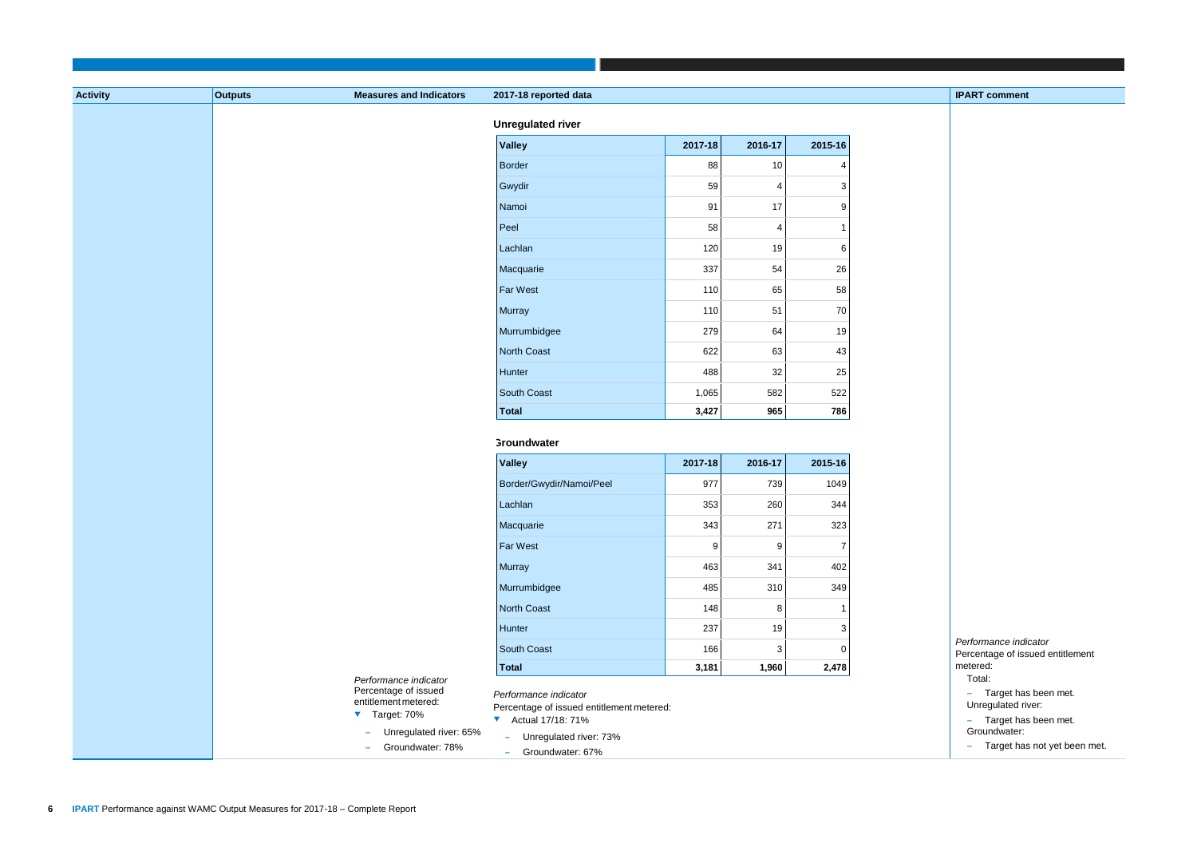| <b>IPART comment</b>                             |
|--------------------------------------------------|
|                                                  |
|                                                  |
|                                                  |
|                                                  |
|                                                  |
|                                                  |
|                                                  |
|                                                  |
|                                                  |
|                                                  |
|                                                  |
|                                                  |
|                                                  |
|                                                  |
|                                                  |
|                                                  |
|                                                  |
|                                                  |
|                                                  |
|                                                  |
|                                                  |
|                                                  |
|                                                  |
|                                                  |
|                                                  |
|                                                  |
|                                                  |
|                                                  |
|                                                  |
|                                                  |
|                                                  |
|                                                  |
| Performance indicator                            |
| Percentage of issued entitlement                 |
| metered:                                         |
| Total:                                           |
| Target has been met.<br>L,<br>Unregulated river: |
| Target has been met.                             |
| Groundwater:                                     |
| Target has not yet been met.                     |
|                                                  |

| <b>Activity</b> | <b>Outputs</b> | <b>Measures and Indicators</b>                                                                                                         | 2017-18 reported data                                                                                                                               |                  |                |                |
|-----------------|----------------|----------------------------------------------------------------------------------------------------------------------------------------|-----------------------------------------------------------------------------------------------------------------------------------------------------|------------------|----------------|----------------|
|                 |                |                                                                                                                                        | <b>Unregulated river</b>                                                                                                                            |                  |                |                |
|                 |                |                                                                                                                                        | <b>Valley</b>                                                                                                                                       | 2017-18          | 2016-17        | 2015-16        |
|                 |                |                                                                                                                                        | Border                                                                                                                                              | 88               | $10$           | 4              |
|                 |                |                                                                                                                                        | Gwydir                                                                                                                                              | 59               | $\overline{4}$ | $\mathbf{3}$   |
|                 |                |                                                                                                                                        | Namoi                                                                                                                                               | 91               | 17             | 9              |
|                 |                |                                                                                                                                        | Peel                                                                                                                                                | 58               | $\overline{4}$ | 1              |
|                 |                |                                                                                                                                        | Lachlan                                                                                                                                             | 120              | 19             | 6              |
|                 |                |                                                                                                                                        | Macquarie                                                                                                                                           | 337              | 54             | 26             |
|                 |                |                                                                                                                                        | <b>Far West</b>                                                                                                                                     | 110              | 65             | 58             |
|                 |                |                                                                                                                                        | Murray                                                                                                                                              | 110              | 51             | 70             |
|                 |                |                                                                                                                                        | Murrumbidgee                                                                                                                                        | 279              | 64             | 19             |
|                 |                |                                                                                                                                        | North Coast                                                                                                                                         | 622              | 63             | 43             |
|                 |                |                                                                                                                                        | Hunter                                                                                                                                              | 488              | 32             | 25             |
|                 |                |                                                                                                                                        | South Coast                                                                                                                                         | 1,065            | 582            | 522            |
|                 |                |                                                                                                                                        | Total                                                                                                                                               | 3,427            | 965            | 786            |
|                 |                |                                                                                                                                        | <b>Groundwater</b>                                                                                                                                  |                  |                |                |
|                 |                |                                                                                                                                        | <b>Valley</b>                                                                                                                                       | 2017-18          | 2016-17        | 2015-16        |
|                 |                |                                                                                                                                        | Border/Gwydir/Namoi/Peel                                                                                                                            | 977              | 739            | 1049           |
|                 |                |                                                                                                                                        | Lachlan                                                                                                                                             | 353              | 260            | 344            |
|                 |                |                                                                                                                                        | Macquarie                                                                                                                                           | 343              | 271            | 323            |
|                 |                |                                                                                                                                        | <b>Far West</b>                                                                                                                                     | $\boldsymbol{9}$ | 9              | $\overline{7}$ |
|                 |                |                                                                                                                                        | <b>Murray</b>                                                                                                                                       | 463              | 341            | 402            |
|                 |                |                                                                                                                                        | Murrumbidgee                                                                                                                                        | 485              | 310            | 349            |
|                 |                |                                                                                                                                        | North Coast                                                                                                                                         | 148              | 8              |                |
|                 |                |                                                                                                                                        | Hunter                                                                                                                                              | 237              | 19             | 3              |
|                 |                |                                                                                                                                        | South Coast                                                                                                                                         | 166              | 3              | 0              |
|                 |                |                                                                                                                                        | Total                                                                                                                                               | 3,181            | 1,960          | 2,478          |
|                 |                | Performance indicator<br>Percentage of issued<br>entitlement metered:<br>▼ Target: 70%<br>- Unregulated river: 65%<br>Groundwater: 78% | Performance indicator<br>Percentage of issued entitlement metered:<br>▼ Actual 17/18: 71%<br>Unregulated river: 73%<br>$\sim$<br>- Groundwater: 67% |                  |                |                |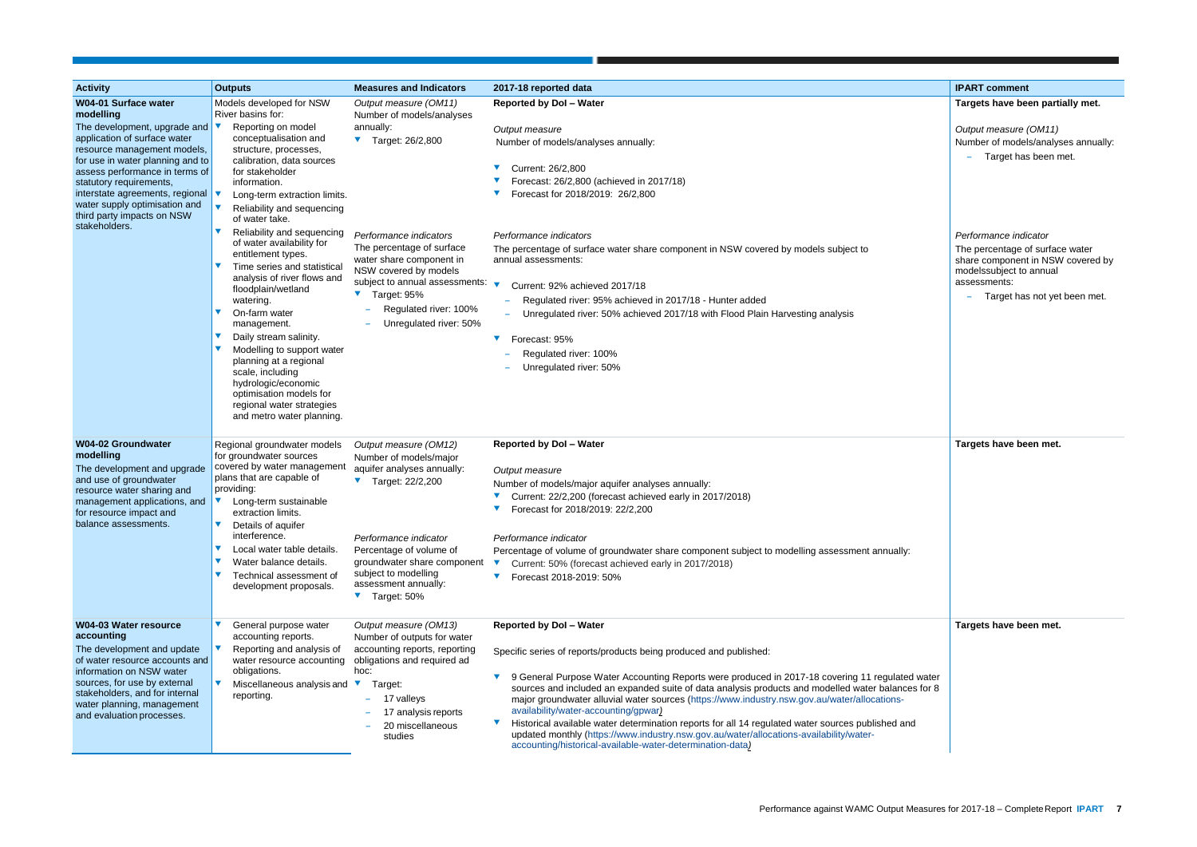| <b>Activity</b>                                                                                                                                                                                                                                                                                                                                                                                       | <b>Outputs</b>                                                                                                                                                                                                                                                                                                                                                                                                                                                                                                                                                                                                                                                                                                                                            | <b>Measures and Indicators</b>                                                                                                                                                                                                                                                                          | 2017-18 reported data                                                                                                                                                                                                                                                                                                                                                                                                                                                                                                                                                                                                                                                                                            | <b>IPART</b> comment                                                                                                                                                                    |
|-------------------------------------------------------------------------------------------------------------------------------------------------------------------------------------------------------------------------------------------------------------------------------------------------------------------------------------------------------------------------------------------------------|-----------------------------------------------------------------------------------------------------------------------------------------------------------------------------------------------------------------------------------------------------------------------------------------------------------------------------------------------------------------------------------------------------------------------------------------------------------------------------------------------------------------------------------------------------------------------------------------------------------------------------------------------------------------------------------------------------------------------------------------------------------|---------------------------------------------------------------------------------------------------------------------------------------------------------------------------------------------------------------------------------------------------------------------------------------------------------|------------------------------------------------------------------------------------------------------------------------------------------------------------------------------------------------------------------------------------------------------------------------------------------------------------------------------------------------------------------------------------------------------------------------------------------------------------------------------------------------------------------------------------------------------------------------------------------------------------------------------------------------------------------------------------------------------------------|-----------------------------------------------------------------------------------------------------------------------------------------------------------------------------------------|
| <b>W04-01 Surface water</b><br>modelling<br>The development, upgrade and $\blacktriangledown$<br>application of surface water<br>resource management models,<br>for use in water planning and to<br>assess performance in terms of<br>statutory requirements,<br>interstate agreements, regional $\blacktriangledown$<br>water supply optimisation and<br>third party impacts on NSW<br>stakeholders. | Models developed for NSW<br>River basins for:<br>Reporting on model<br>conceptualisation and<br>structure, processes,<br>calibration, data sources<br>for stakeholder<br>information.<br>Long-term extraction limits.<br>Reliability and sequencing<br>of water take.<br>Reliability and sequencing<br>of water availability for<br>entitlement types.<br>Time series and statistical<br>analysis of river flows and<br>floodplain/wetland<br>watering.<br>$\blacktriangledown$<br>On-farm water<br>management.<br>$\blacktriangledown$<br>Daily stream salinity.<br>Modelling to support water<br>planning at a regional<br>scale, including<br>hydrologic/economic<br>optimisation models for<br>regional water strategies<br>and metro water planning. | Output measure (OM11)<br>Number of models/analyses<br>annually:<br>▼ Target: 26/2,800<br>Performance indicators<br>The percentage of surface<br>water share component in<br>NSW covered by models<br>subject to annual assessments:<br>▼ Target: 95%<br>Regulated river: 100%<br>Unregulated river: 50% | <b>Reported by Dol - Water</b><br>Output measure<br>Number of models/analyses annually:<br>Current: 26/2,800<br>Forecast: 26/2,800 (achieved in 2017/18)<br>Forecast for 2018/2019: 26/2,800<br>Performance indicators<br>The percentage of surface water share component in NSW covered by models subject to<br>annual assessments:<br>Current: 92% achieved 2017/18<br>Regulated river: 95% achieved in 2017/18 - Hunter added<br>Unregulated river: 50% achieved 2017/18 with Flood Plain Harvesting analysis<br>Forecast: 95%<br>Regulated river: 100%<br>Unregulated river: 50%                                                                                                                             | <b>Targets have be</b><br>Output measure<br>Number of model<br>Target has<br>Performance indi<br>The percentage of<br>share component<br>modelssubject to<br>assessments:<br>Target has |
| <b>W04-02 Groundwater</b><br>modelling<br>The development and upgrade<br>and use of groundwater<br>resource water sharing and<br>management applications, and<br>for resource impact and<br>balance assessments.                                                                                                                                                                                      | Regional groundwater models<br>for groundwater sources<br>covered by water management<br>plans that are capable of<br>providing:<br>Long-term sustainable<br>extraction limits.<br>Details of aquifer<br>interference.<br>$\blacktriangledown$<br>Local water table details.<br>Water balance details.<br>V<br>Technical assessment of<br>development proposals.                                                                                                                                                                                                                                                                                                                                                                                          | Output measure (OM12)<br>Number of models/major<br>aquifer analyses annually:<br>$\blacktriangledown$<br>Target: 22/2,200<br>Performance indicator<br>Percentage of volume of<br>groundwater share component<br>subject to modelling<br>assessment annually:<br>▼ Target: 50%                           | <b>Reported by Dol - Water</b><br>Output measure<br>Number of models/major aquifer analyses annually:<br>Current: 22/2,200 (forecast achieved early in 2017/2018)<br>Forecast for 2018/2019: 22/2,200<br>Performance indicator<br>Percentage of volume of groundwater share component subject to modelling assessment annually:<br>Current: 50% (forecast achieved early in 2017/2018)<br>$\blacktriangledown$<br>Forecast 2018-2019: 50%                                                                                                                                                                                                                                                                        | <b>Targets have be</b>                                                                                                                                                                  |
| <b>W04-03 Water resource</b><br>accounting<br>The development and update<br>of water resource accounts and<br>information on NSW water<br>sources, for use by external<br>stakeholders, and for internal<br>water planning, management<br>and evaluation processes.                                                                                                                                   | General purpose water<br>accounting reports.<br>Reporting and analysis of<br>water resource accounting<br>obligations.<br>Miscellaneous analysis and ▼<br>reporting.                                                                                                                                                                                                                                                                                                                                                                                                                                                                                                                                                                                      | Output measure (OM13)<br>Number of outputs for water<br>accounting reports, reporting<br>obligations and required ad<br>hoc:<br>Target:<br>17 valleys<br>17 analysis reports<br>20 miscellaneous<br>studies                                                                                             | <b>Reported by Dol - Water</b><br>Specific series of reports/products being produced and published:<br>9 General Purpose Water Accounting Reports were produced in 2017-18 covering 11 regulated water<br>sources and included an expanded suite of data analysis products and modelled water balances for 8<br>major groundwater alluvial water sources (https://www.industry.nsw.gov.au/water/allocations-<br>availability/water-accounting/gpwar)<br>Historical available water determination reports for all 14 regulated water sources published and<br>updated monthly (https://www.industry.nsw.gov.au/water/allocations-availability/water-<br>accounting/historical-available-water-determination-data) | <b>Targets have be</b>                                                                                                                                                                  |

|                       | <b>IPART comment</b>                                                                                                                                                     |
|-----------------------|--------------------------------------------------------------------------------------------------------------------------------------------------------------------------|
|                       | Targets have been partially met.                                                                                                                                         |
|                       | Output measure (OM11)<br>Number of models/analyses annually:<br>Target has been met.                                                                                     |
|                       | Performance indicator<br>The percentage of surface water<br>share component in NSW covered by<br>modelssubject to annual<br>assessments:<br>Target has not yet been met. |
|                       |                                                                                                                                                                          |
|                       | Targets have been met.                                                                                                                                                   |
| у:                    |                                                                                                                                                                          |
|                       | Targets have been met.                                                                                                                                                   |
| ed water<br>ces for 8 |                                                                                                                                                                          |
| ınd                   |                                                                                                                                                                          |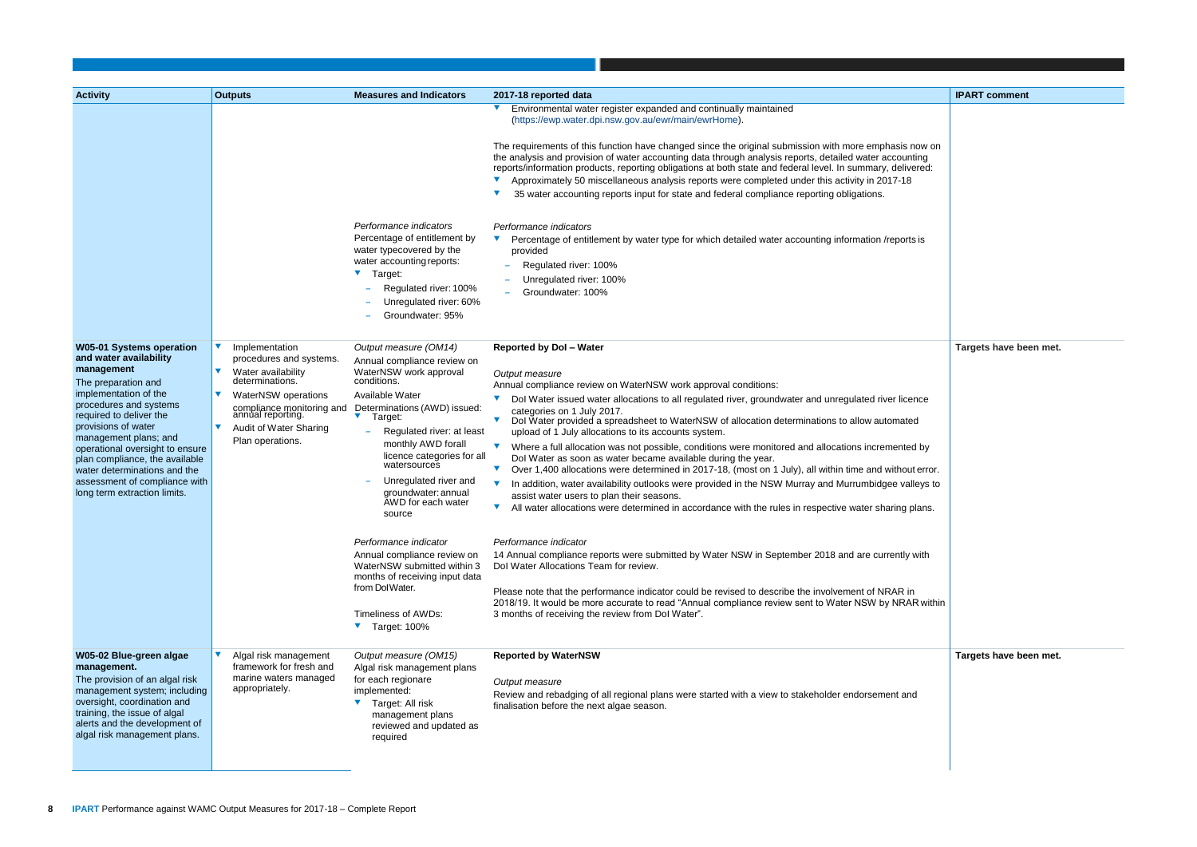|                    | <b>IPART comment</b>   |
|--------------------|------------------------|
|                    |                        |
|                    |                        |
| s now on<br>unting |                        |
| ivered:<br>18      |                        |
|                    |                        |
|                    |                        |
| orts is            |                        |
|                    |                        |
|                    |                        |
|                    |                        |
|                    |                        |
|                    |                        |
|                    | Targets have been met. |
|                    |                        |
|                    |                        |
| cence              |                        |
| ited               |                        |
| ted by             |                        |
| out error.         |                        |
| alleys to          |                        |
| g plans.           |                        |
|                    |                        |
| ly with            |                        |
|                    |                        |
| . in               |                        |
| AR within          |                        |
|                    |                        |
|                    |                        |
|                    | Targets have been met. |
|                    |                        |
| and                |                        |
|                    |                        |
|                    |                        |
|                    |                        |

| <b>Activity</b>                                                                                                                                                                                                                                                                                                                                                                                    | <b>Outputs</b>                                                                                                                                                                                            | <b>Measures and Indicators</b>                                                                                                                                                                                                                                                                                                                                                                                                                                                                                                                             | 2017-18 reported data                                                                                                                                                                                                                                                                                                                                                                                                                                                                                                                                                                                                                                                                                                                                                                                                                                                                                                                                                                                                                                                                                                                                                                                                                                                                                                                                                                                                                                                               | <b>IPART</b> comment   |
|----------------------------------------------------------------------------------------------------------------------------------------------------------------------------------------------------------------------------------------------------------------------------------------------------------------------------------------------------------------------------------------------------|-----------------------------------------------------------------------------------------------------------------------------------------------------------------------------------------------------------|------------------------------------------------------------------------------------------------------------------------------------------------------------------------------------------------------------------------------------------------------------------------------------------------------------------------------------------------------------------------------------------------------------------------------------------------------------------------------------------------------------------------------------------------------------|-------------------------------------------------------------------------------------------------------------------------------------------------------------------------------------------------------------------------------------------------------------------------------------------------------------------------------------------------------------------------------------------------------------------------------------------------------------------------------------------------------------------------------------------------------------------------------------------------------------------------------------------------------------------------------------------------------------------------------------------------------------------------------------------------------------------------------------------------------------------------------------------------------------------------------------------------------------------------------------------------------------------------------------------------------------------------------------------------------------------------------------------------------------------------------------------------------------------------------------------------------------------------------------------------------------------------------------------------------------------------------------------------------------------------------------------------------------------------------------|------------------------|
|                                                                                                                                                                                                                                                                                                                                                                                                    |                                                                                                                                                                                                           | Performance indicators<br>Percentage of entitlement by<br>water typecovered by the<br>water accounting reports:<br>Target:<br>Regulated river: 100%<br>Unregulated river: 60%<br>Groundwater: 95%                                                                                                                                                                                                                                                                                                                                                          | Environmental water register expanded and continually maintained<br>(https://ewp.water.dpi.nsw.gov.au/ewr/main/ewrHome).<br>The requirements of this function have changed since the original submission with more emphasis now on<br>the analysis and provision of water accounting data through analysis reports, detailed water accounting<br>reports/information products, reporting obligations at both state and federal level. In summary, delivered:<br>Approximately 50 miscellaneous analysis reports were completed under this activity in 2017-18<br>35 water accounting reports input for state and federal compliance reporting obligations.<br>Performance indicators<br>Percentage of entitlement by water type for which detailed water accounting information /reports is<br>provided<br>Regulated river: 100%<br>Unregulated river: 100%<br>Groundwater: 100%                                                                                                                                                                                                                                                                                                                                                                                                                                                                                                                                                                                                    |                        |
| <b>W05-01 Systems operation</b><br>and water availability<br>management<br>The preparation and<br>implementation of the<br>procedures and systems<br>required to deliver the<br>provisions of water<br>management plans; and<br>operational oversight to ensure<br>plan compliance, the available<br>water determinations and the<br>assessment of compliance with<br>long term extraction limits. | Implementation<br>procedures and systems.<br>Water availability<br>determinations.<br>WaterNSW operations<br>compliance monitoring and<br>annual reporting.<br>Audit of Water Sharing<br>Plan operations. | Output measure (OM14)<br>Annual compliance review on<br>WaterNSW work approval<br>conditions.<br>Available Water<br>Determinations (AWD) issued:<br>V.<br>Target:<br>Regulated river: at least<br>monthly AWD forall<br>licence categories for all<br>watersources<br>Unregulated river and<br>groundwater: annual<br>AWD for each water<br>source<br>Performance indicator<br>Annual compliance review on<br>WaterNSW submitted within 3<br>months of receiving input data<br>from Dol Water.<br>Timeliness of AWDs:<br>$\blacktriangledown$ Target: 100% | <b>Reported by Dol - Water</b><br>Output measure<br>Annual compliance review on WaterNSW work approval conditions:<br>Dol Water issued water allocations to all regulated river, groundwater and unregulated river licence<br>categories on 1 July 2017.<br>Dol Water provided a spreadsheet to WaterNSW of allocation determinations to allow automated<br>$\blacktriangledown$<br>upload of 1 July allocations to its accounts system.<br>Where a full allocation was not possible, conditions were monitored and allocations incremented by<br>$\blacktriangledown$<br>Dol Water as soon as water became available during the year.<br>Over 1,400 allocations were determined in 2017-18, (most on 1 July), all within time and without error.<br>$\blacktriangledown$<br>In addition, water availability outlooks were provided in the NSW Murray and Murrumbidgee valleys to<br>assist water users to plan their seasons.<br>All water allocations were determined in accordance with the rules in respective water sharing plans.<br>Performance indicator<br>14 Annual compliance reports were submitted by Water NSW in September 2018 and are currently with<br>Dol Water Allocations Team for review.<br>Please note that the performance indicator could be revised to describe the involvement of NRAR in<br>2018/19. It would be more accurate to read "Annual compliance review sent to Water NSW by NRAR within<br>3 months of receiving the review from Dol Water". | <b>Targets have be</b> |
| W05-02 Blue-green algae<br>management.<br>The provision of an algal risk<br>management system; including<br>oversight, coordination and<br>training, the issue of algal<br>alerts and the development of<br>algal risk management plans.                                                                                                                                                           | Algal risk management<br>framework for fresh and<br>marine waters managed<br>appropriately.                                                                                                               | Output measure (OM15)<br>Algal risk management plans<br>for each regionare<br>implemented:<br>Target: All risk<br>$\blacktriangledown$<br>management plans<br>reviewed and updated as<br>required                                                                                                                                                                                                                                                                                                                                                          | <b>Reported by WaterNSW</b><br>Output measure<br>Review and rebadging of all regional plans were started with a view to stakeholder endorsement and<br>finalisation before the next algae season.                                                                                                                                                                                                                                                                                                                                                                                                                                                                                                                                                                                                                                                                                                                                                                                                                                                                                                                                                                                                                                                                                                                                                                                                                                                                                   | <b>Targets have be</b> |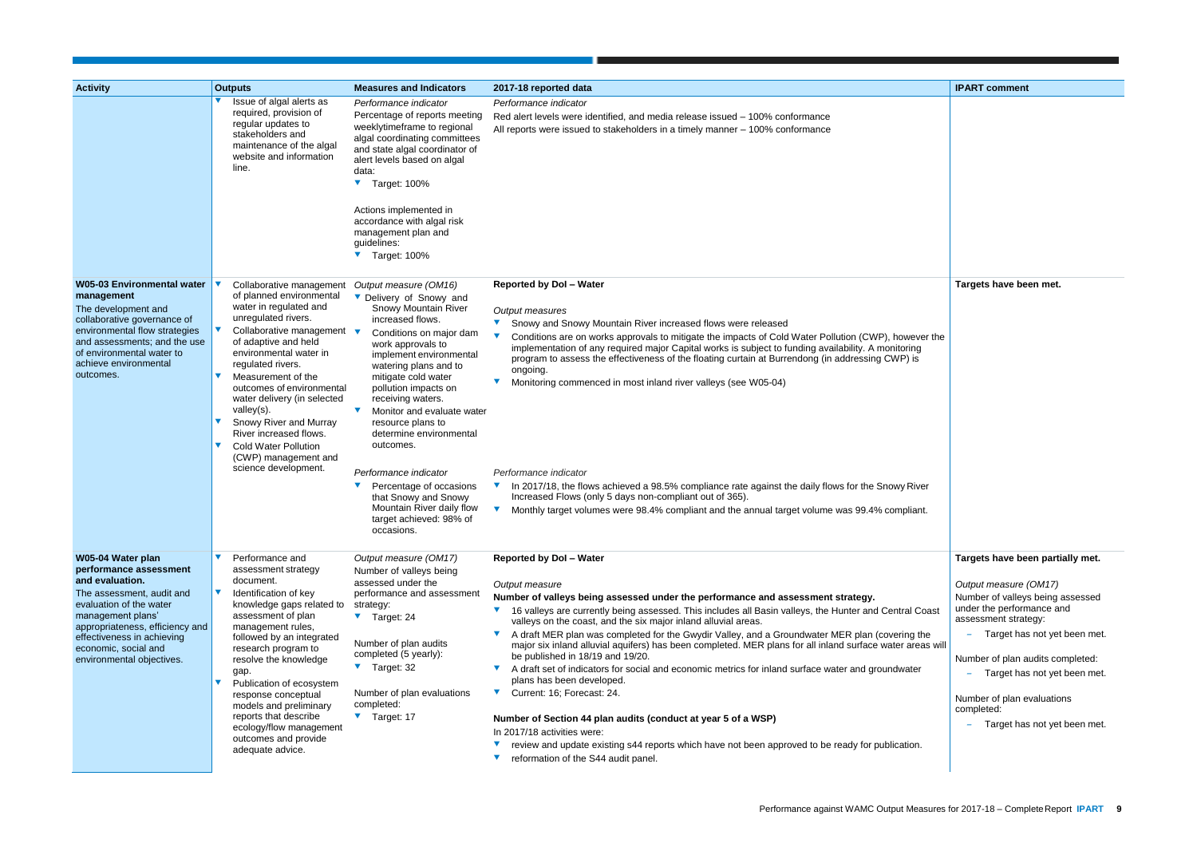|                                              | <b>IPART comment</b>                                                                                                                                                               |
|----------------------------------------------|------------------------------------------------------------------------------------------------------------------------------------------------------------------------------------|
|                                              |                                                                                                                                                                                    |
|                                              | Targets have been met.                                                                                                                                                             |
| wever the<br>ring<br>) is<br>River<br>.liant |                                                                                                                                                                                    |
|                                              |                                                                                                                                                                                    |
|                                              |                                                                                                                                                                                    |
|                                              | Targets have been partially met.                                                                                                                                                   |
| al Coast<br>ng the<br>areas will             | Output measure (OM17)<br>Number of valleys being assessed<br>under the performance and<br>assessment strategy:<br>Target has not yet been met.<br>Number of plan audits completed: |
| ater                                         | Target has not yet been met.                                                                                                                                                       |
|                                              | Number of plan evaluations<br>completed:<br>Target has not yet been met.                                                                                                           |
| tion.                                        |                                                                                                                                                                                    |
|                                              |                                                                                                                                                                                    |

| <b>Activity</b>                                                                                                                                                                                                                                                   | <b>Outputs</b>                                                                                                                                                                                                                                                                                                                                                                                                                                 | <b>Measures and Indicators</b>                                                                                                                                                                                                                                                                                                                                                                                                                                                                                                          | 2017-18 reported data                                                                                                                                                                                                                                                                                                                                                                                                                                                                                                                                                                                                                                                                                                                                                                                                                                                                                                                                                                                    | <b>IPART</b> comment                                                                                                                                                                                   |
|-------------------------------------------------------------------------------------------------------------------------------------------------------------------------------------------------------------------------------------------------------------------|------------------------------------------------------------------------------------------------------------------------------------------------------------------------------------------------------------------------------------------------------------------------------------------------------------------------------------------------------------------------------------------------------------------------------------------------|-----------------------------------------------------------------------------------------------------------------------------------------------------------------------------------------------------------------------------------------------------------------------------------------------------------------------------------------------------------------------------------------------------------------------------------------------------------------------------------------------------------------------------------------|----------------------------------------------------------------------------------------------------------------------------------------------------------------------------------------------------------------------------------------------------------------------------------------------------------------------------------------------------------------------------------------------------------------------------------------------------------------------------------------------------------------------------------------------------------------------------------------------------------------------------------------------------------------------------------------------------------------------------------------------------------------------------------------------------------------------------------------------------------------------------------------------------------------------------------------------------------------------------------------------------------|--------------------------------------------------------------------------------------------------------------------------------------------------------------------------------------------------------|
|                                                                                                                                                                                                                                                                   | Issue of algal alerts as<br>required, provision of<br>regular updates to<br>stakeholders and<br>maintenance of the algal<br>website and information<br>line.                                                                                                                                                                                                                                                                                   | Performance indicator<br>Percentage of reports meeting<br>weeklytimeframe to regional<br>algal coordinating committees<br>and state algal coordinator of<br>alert levels based on algal<br>data:<br>Target: 100%<br>Actions implemented in<br>accordance with algal risk<br>management plan and<br>guidelines:<br>▼ Target: 100%                                                                                                                                                                                                        | Performance indicator<br>Red alert levels were identified, and media release issued - 100% conformance<br>All reports were issued to stakeholders in a timely manner - 100% conformance                                                                                                                                                                                                                                                                                                                                                                                                                                                                                                                                                                                                                                                                                                                                                                                                                  |                                                                                                                                                                                                        |
| <b>W05-03 Environmental water</b><br>management<br>The development and<br>collaborative governance of<br>environmental flow strategies<br>and assessments; and the use<br>of environmental water to<br>achieve environmental<br>outcomes.                         | Collaborative management<br>of planned environmental<br>water in regulated and<br>unregulated rivers.<br>Collaborative management ▼<br>of adaptive and held<br>environmental water in<br>regulated rivers.<br>Measurement of the<br>outcomes of environmental<br>water delivery (in selected<br>valley(s).<br>Snowy River and Murray<br>River increased flows.<br><b>Cold Water Pollution</b><br>(CWP) management and<br>science development.  | Output measure (OM16)<br>Delivery of Snowy and<br>Snowy Mountain River<br>increased flows.<br>Conditions on major dam<br>work approvals to<br>implement environmental<br>watering plans and to<br>mitigate cold water<br>pollution impacts on<br>receiving waters.<br>Monitor and evaluate water<br>$\blacktriangledown$<br>resource plans to<br>determine environmental<br>outcomes.<br>Performance indicator<br>Percentage of occasions<br>that Snowy and Snowy<br>Mountain River daily flow<br>target achieved: 98% of<br>occasions. | <b>Reported by Dol - Water</b><br>Output measures<br>Snowy and Snowy Mountain River increased flows were released<br>Conditions are on works approvals to mitigate the impacts of Cold Water Pollution (CWP), however the<br>implementation of any required major Capital works is subject to funding availability. A monitoring<br>program to assess the effectiveness of the floating curtain at Burrendong (in addressing CWP) is<br>ongoing.<br>Monitoring commenced in most inland river valleys (see W05-04)<br>Performance indicator<br>In 2017/18, the flows achieved a 98.5% compliance rate against the daily flows for the Snowy River<br>$\blacktriangledown$<br>Increased Flows (only 5 days non-compliant out of 365).<br>$\blacktriangledown$<br>Monthly target volumes were 98.4% compliant and the annual target volume was 99.4% compliant.                                                                                                                                            | <b>Targets have be</b>                                                                                                                                                                                 |
| W05-04 Water plan<br>performance assessment<br>and evaluation.<br>The assessment, audit and<br>evaluation of the water<br>management plans'<br>appropriateness, efficiency and<br>effectiveness in achieving<br>economic, social and<br>environmental objectives. | Performance and<br>assessment strategy<br>document.<br>Identification of key<br>knowledge gaps related to<br>assessment of plan<br>management rules,<br>followed by an integrated<br>research program to<br>resolve the knowledge<br>gap.<br>$\blacktriangledown$<br>Publication of ecosystem<br>response conceptual<br>models and preliminary<br>reports that describe<br>ecology/flow management<br>outcomes and provide<br>adequate advice. | Output measure (OM17)<br>Number of valleys being<br>assessed under the<br>performance and assessment<br>strategy:<br>$\blacktriangledown$ Target: 24<br>Number of plan audits<br>completed (5 yearly):<br>$\blacktriangledown$ Target: 32<br>Number of plan evaluations<br>completed:<br>▼ Target: 17                                                                                                                                                                                                                                   | <b>Reported by Dol - Water</b><br>Output measure<br>Number of valleys being assessed under the performance and assessment strategy.<br>▼ 16 valleys are currently being assessed. This includes all Basin valleys, the Hunter and Central Coast<br>valleys on the coast, and the six major inland alluvial areas.<br>A draft MER plan was completed for the Gwydir Valley, and a Groundwater MER plan (covering the<br>major six inland alluvial aquifers) has been completed. MER plans for all inland surface water areas will<br>be published in 18/19 and 19/20.<br>A draft set of indicators for social and economic metrics for inland surface water and groundwater<br>$\blacktriangledown$<br>plans has been developed.<br>Current: 16; Forecast: 24.<br>Number of Section 44 plan audits (conduct at year 5 of a WSP)<br>In 2017/18 activities were:<br>review and update existing s44 reports which have not been approved to be ready for publication.<br>reformation of the S44 audit panel. | <b>Targets have be</b><br>Output measure<br>Number of valleys<br>under the perforn<br>assessment strat<br>Target has<br>Number of plan a<br>Target has<br>Number of plan e<br>completed:<br>Target has |

TH.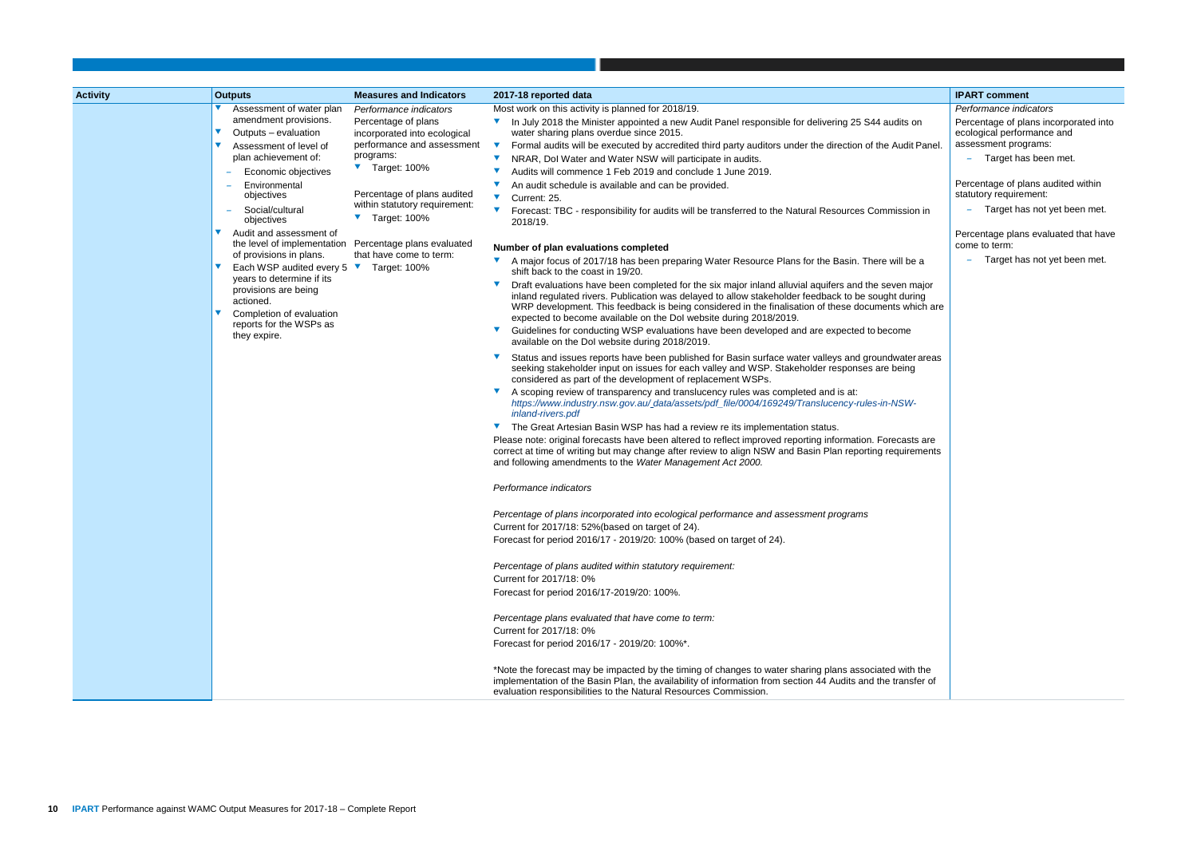|                             | <b>IPART comment</b>                                                |
|-----------------------------|---------------------------------------------------------------------|
|                             | Performance indicators                                              |
| s on                        | Percentage of plans incorporated into<br>ecological performance and |
| dit Panel.                  | assessment programs:                                                |
|                             | Target has been met.                                                |
|                             | Percentage of plans audited within<br>statutory requirement:        |
| sion in                     | Target has not yet been met.                                        |
|                             | Percentage plans evaluated that have<br>come to term:               |
| be a                        | Target has not yet been met.                                        |
| major<br>uring<br>which are |                                                                     |
| ۱e                          |                                                                     |
| ter areas<br>ng             |                                                                     |
| W-                          |                                                                     |
| asts are<br>irements        |                                                                     |
|                             |                                                                     |
|                             |                                                                     |
|                             |                                                                     |
|                             |                                                                     |
|                             |                                                                     |
| ith the                     |                                                                     |
| nsfer of                    |                                                                     |

| <b>Activity</b> | <b>Outputs</b>                                                             | <b>Measures and Indicators</b>                                                                | 2017-18 reported data                                                                                                                                                                                                                                                                                                                                                                  | <b>IPART</b> comment |
|-----------------|----------------------------------------------------------------------------|-----------------------------------------------------------------------------------------------|----------------------------------------------------------------------------------------------------------------------------------------------------------------------------------------------------------------------------------------------------------------------------------------------------------------------------------------------------------------------------------------|----------------------|
|                 | Assessment of water plan                                                   | Performance indicators                                                                        | Most work on this activity is planned for 2018/19.                                                                                                                                                                                                                                                                                                                                     | Performance indi     |
|                 | amendment provisions.                                                      | Percentage of plans                                                                           | In July 2018 the Minister appointed a new Audit Panel responsible for delivering 25 S44 audits on                                                                                                                                                                                                                                                                                      | Percentage of pla    |
|                 | Outputs – evaluation                                                       | incorporated into ecological                                                                  | water sharing plans overdue since 2015.                                                                                                                                                                                                                                                                                                                                                | ecological perforr   |
|                 | Assessment of level of                                                     | performance and assessment<br>programs:                                                       | Formal audits will be executed by accredited third party auditors under the direction of the Audit Panel.                                                                                                                                                                                                                                                                              | assessment prog      |
|                 | plan achievement of:                                                       | ▼ Target: 100%                                                                                | NRAR, Dol Water and Water NSW will participate in audits.                                                                                                                                                                                                                                                                                                                              | Target has           |
|                 | Economic objectives                                                        |                                                                                               | Audits will commence 1 Feb 2019 and conclude 1 June 2019.                                                                                                                                                                                                                                                                                                                              | Percentage of pla    |
|                 | Environmental<br>objectives                                                | Percentage of plans audited                                                                   | An audit schedule is available and can be provided.<br>$\blacktriangledown$                                                                                                                                                                                                                                                                                                            | statutory requiren   |
|                 | Social/cultural                                                            | within statutory requirement:                                                                 | Current: 25.<br>Forecast: TBC - responsibility for audits will be transferred to the Natural Resources Commission in                                                                                                                                                                                                                                                                   | Target has           |
|                 | objectives                                                                 | $\blacktriangledown$ Target: 100%                                                             | 2018/19.                                                                                                                                                                                                                                                                                                                                                                               |                      |
|                 | Audit and assessment of<br>the level of implementation                     |                                                                                               |                                                                                                                                                                                                                                                                                                                                                                                        | Percentage plans     |
|                 | of provisions in plans.                                                    | Percentage plans evaluated<br>Number of plan evaluations completed<br>that have come to term: |                                                                                                                                                                                                                                                                                                                                                                                        | come to term:        |
|                 | Each WSP audited every 5 $\blacktriangledown$<br>years to determine if its | Target: 100%                                                                                  | A major focus of 2017/18 has been preparing Water Resource Plans for the Basin. There will be a<br>shift back to the coast in 19/20.                                                                                                                                                                                                                                                   | Target has           |
|                 | provisions are being<br>actioned.<br>Completion of evaluation              |                                                                                               | Draft evaluations have been completed for the six major inland alluvial aquifers and the seven major<br>inland regulated rivers. Publication was delayed to allow stakeholder feedback to be sought during<br>WRP development. This feedback is being considered in the finalisation of these documents which are<br>expected to become available on the DoI website during 2018/2019. |                      |
|                 | reports for the WSPs as<br>they expire.                                    |                                                                                               | Guidelines for conducting WSP evaluations have been developed and are expected to become<br>available on the Dol website during 2018/2019.                                                                                                                                                                                                                                             |                      |
|                 |                                                                            |                                                                                               | Status and issues reports have been published for Basin surface water valleys and groundwater areas<br>seeking stakeholder input on issues for each valley and WSP. Stakeholder responses are being<br>considered as part of the development of replacement WSPs.                                                                                                                      |                      |
|                 |                                                                            |                                                                                               | A scoping review of transparency and translucency rules was completed and is at:<br>https://www.industry.nsw.gov.au/_data/assets/pdf_file/0004/169249/Translucency-rules-in-NSW-<br>inland-rivers.pdf                                                                                                                                                                                  |                      |
|                 |                                                                            |                                                                                               | The Great Artesian Basin WSP has had a review re its implementation status.                                                                                                                                                                                                                                                                                                            |                      |
|                 |                                                                            |                                                                                               | Please note: original forecasts have been altered to reflect improved reporting information. Forecasts are<br>correct at time of writing but may change after review to align NSW and Basin Plan reporting requirements<br>and following amendments to the Water Management Act 2000.                                                                                                  |                      |
|                 |                                                                            |                                                                                               | Performance indicators                                                                                                                                                                                                                                                                                                                                                                 |                      |
|                 |                                                                            |                                                                                               | Percentage of plans incorporated into ecological performance and assessment programs                                                                                                                                                                                                                                                                                                   |                      |
|                 |                                                                            |                                                                                               | Current for 2017/18: 52%(based on target of 24).<br>Forecast for period 2016/17 - 2019/20: 100% (based on target of 24).                                                                                                                                                                                                                                                               |                      |
|                 |                                                                            |                                                                                               | Percentage of plans audited within statutory requirement:<br>Current for 2017/18: 0%                                                                                                                                                                                                                                                                                                   |                      |
|                 |                                                                            |                                                                                               | Forecast for period 2016/17-2019/20: 100%.                                                                                                                                                                                                                                                                                                                                             |                      |
|                 |                                                                            |                                                                                               | Percentage plans evaluated that have come to term:<br>Current for 2017/18: 0%                                                                                                                                                                                                                                                                                                          |                      |
|                 |                                                                            |                                                                                               | Forecast for period 2016/17 - 2019/20: 100%*.                                                                                                                                                                                                                                                                                                                                          |                      |
|                 |                                                                            |                                                                                               | *Note the forecast may be impacted by the timing of changes to water sharing plans associated with the<br>implementation of the Basin Plan, the availability of information from section 44 Audits and the transfer of<br>evaluation responsibilities to the Natural Resources Commission.                                                                                             |                      |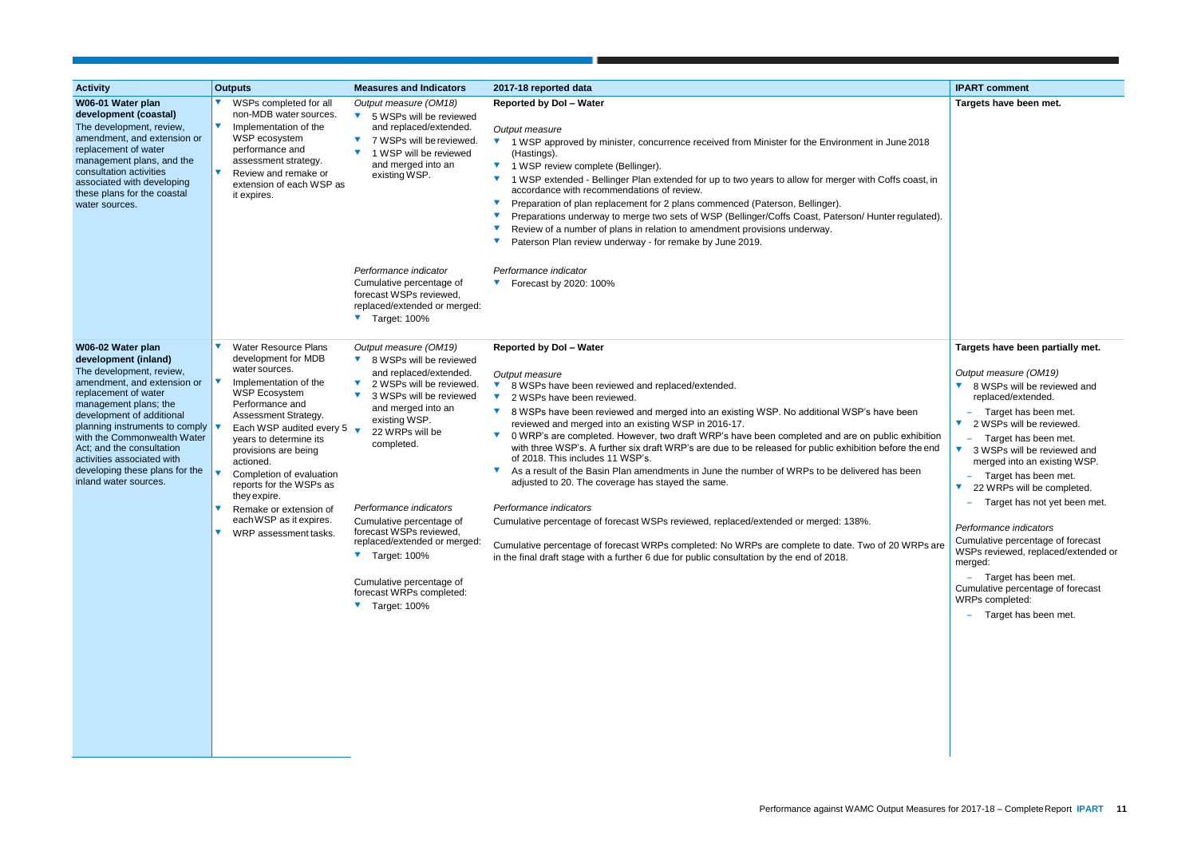| <b>Activity</b>                                                                                                                                                                                                                                                                                                                                                           | <b>Outputs</b>                                                                                                                                                                                                                                                                                                                                                                                                             | <b>Measures and Indicators</b>                                                                                                                                                                                                                                                                                                                                                                                                                                                          | 2017-18 reported data                                                                                                                                                                                                                                                                                                                                                                                                                                                                                                                                                                                                                                                                                                                                                                                                                                                                                                                                                                                                                                              | <b>IPART</b> comment                                                                                                                                                                                                                                                                                                                                                                                                |
|---------------------------------------------------------------------------------------------------------------------------------------------------------------------------------------------------------------------------------------------------------------------------------------------------------------------------------------------------------------------------|----------------------------------------------------------------------------------------------------------------------------------------------------------------------------------------------------------------------------------------------------------------------------------------------------------------------------------------------------------------------------------------------------------------------------|-----------------------------------------------------------------------------------------------------------------------------------------------------------------------------------------------------------------------------------------------------------------------------------------------------------------------------------------------------------------------------------------------------------------------------------------------------------------------------------------|--------------------------------------------------------------------------------------------------------------------------------------------------------------------------------------------------------------------------------------------------------------------------------------------------------------------------------------------------------------------------------------------------------------------------------------------------------------------------------------------------------------------------------------------------------------------------------------------------------------------------------------------------------------------------------------------------------------------------------------------------------------------------------------------------------------------------------------------------------------------------------------------------------------------------------------------------------------------------------------------------------------------------------------------------------------------|---------------------------------------------------------------------------------------------------------------------------------------------------------------------------------------------------------------------------------------------------------------------------------------------------------------------------------------------------------------------------------------------------------------------|
| W06-01 Water plan<br>development (coastal)<br>The development, review,<br>amendment, and extension or<br>replacement of water<br>management plans, and the<br>consultation activities<br>associated with developing<br>these plans for the coastal<br>water sources.                                                                                                      | WSPs completed for all<br>non-MDB water sources.<br>Implementation of the<br>WSP ecosystem<br>performance and<br>assessment strategy.<br>Review and remake or<br>extension of each WSP as<br>it expires.                                                                                                                                                                                                                   | Output measure (OM18)<br>$\blacktriangledown$<br>5 WSPs will be reviewed<br>and replaced/extended.<br>7 WSPs will be reviewed.<br>1 WSP will be reviewed<br>and merged into an<br>existing WSP.                                                                                                                                                                                                                                                                                         | <b>Reported by Dol - Water</b><br>Output measure<br>▼ 1 WSP approved by minister, concurrence received from Minister for the Environment in June 2018<br>(Hastings).<br>▼ 1 WSP review complete (Bellinger).<br>1 WSP extended - Bellinger Plan extended for up to two years to allow for merger with Coffs coast, in<br>accordance with recommendations of review.<br>Preparation of plan replacement for 2 plans commenced (Paterson, Bellinger).<br>Preparations underway to merge two sets of WSP (Bellinger/Coffs Coast, Paterson/ Hunter regulated).<br>Review of a number of plans in relation to amendment provisions underway.<br>Paterson Plan review underway - for remake by June 2019.                                                                                                                                                                                                                                                                                                                                                                | <b>Targets have be</b>                                                                                                                                                                                                                                                                                                                                                                                              |
|                                                                                                                                                                                                                                                                                                                                                                           |                                                                                                                                                                                                                                                                                                                                                                                                                            | Performance indicator<br>Cumulative percentage of<br>forecast WSPs reviewed,<br>replaced/extended or merged:<br>Target: 100%                                                                                                                                                                                                                                                                                                                                                            | Performance indicator<br>Forecast by 2020: 100%                                                                                                                                                                                                                                                                                                                                                                                                                                                                                                                                                                                                                                                                                                                                                                                                                                                                                                                                                                                                                    |                                                                                                                                                                                                                                                                                                                                                                                                                     |
| W06-02 Water plan<br>development (inland)<br>The development, review,<br>amendment, and extension or<br>replacement of water<br>management plans; the<br>development of additional<br>planning instruments to comply<br>with the Commonwealth Water<br>Act; and the consultation<br>activities associated with<br>developing these plans for the<br>inland water sources. | V<br><b>Water Resource Plans</b><br>development for MDB<br>water sources.<br>Implementation of the<br><b>WSP Ecosystem</b><br>Performance and<br>Assessment Strategy.<br>Each WSP audited every 5<br>years to determine its<br>provisions are being<br>actioned.<br>Completion of evaluation<br>reports for the WSPs as<br>they expire.<br>Remake or extension of<br>each WSP as it expires.<br>V<br>WRP assessment tasks. | Output measure (OM19)<br>8 WSPs will be reviewed<br>$\blacktriangledown$<br>and replaced/extended.<br>2 WSPs will be reviewed.<br>$\blacktriangledown$<br>3 WSPs will be reviewed<br>and merged into an<br>existing WSP.<br>22 WRPs will be<br>completed.<br>Performance indicators<br>Cumulative percentage of<br>forecast WSPs reviewed,<br>replaced/extended or merged:<br>$\blacktriangledown$ Target: 100%<br>Cumulative percentage of<br>forecast WRPs completed:<br>Target: 100% | <b>Reported by Dol - Water</b><br>Output measure<br>$\blacktriangledown$<br>8 WSPs have been reviewed and replaced/extended.<br>$\blacktriangledown$<br>2 WSPs have been reviewed.<br>8 WSPs have been reviewed and merged into an existing WSP. No additional WSP's have been<br>reviewed and merged into an existing WSP in 2016-17.<br>0 WRP's are completed. However, two draft WRP's have been completed and are on public exhibition<br>with three WSP's. A further six draft WRP's are due to be released for public exhibition before the end<br>of 2018. This includes 11 WSP's.<br>As a result of the Basin Plan amendments in June the number of WRPs to be delivered has been<br>adjusted to 20. The coverage has stayed the same.<br>Performance indicators<br>Cumulative percentage of forecast WSPs reviewed, replaced/extended or merged: 138%.<br>Cumulative percentage of forecast WRPs completed: No WRPs are complete to date. Two of 20 WRPs are<br>in the final draft stage with a further 6 due for public consultation by the end of 2018. | <b>Targets have be</b><br>Output measure<br>8 WSPs will I<br>replaced/exte<br>Target has<br>$\blacktriangledown$<br>2 WSPs will I<br>Target has<br>3 WSPs will b<br>$\blacktriangledown$<br>merged into a<br>Target has<br>22 WRPs wil<br>$\blacktriangledown$<br>Target has<br>Performance indi<br>Cumulative perce<br>WSPs reviewed,<br>merged:<br>Target has<br>Cumulative perce<br>WRPs completed<br>Target has |

|            | <b>IPART comment</b>                                                     |
|------------|--------------------------------------------------------------------------|
|            | Targets have been met.                                                   |
|            |                                                                          |
| e 2018     |                                                                          |
|            |                                                                          |
|            |                                                                          |
| coast, in  |                                                                          |
|            |                                                                          |
| gulated).  |                                                                          |
|            |                                                                          |
|            |                                                                          |
|            |                                                                          |
|            |                                                                          |
|            |                                                                          |
|            |                                                                          |
|            |                                                                          |
|            |                                                                          |
|            | Targets have been partially met.                                         |
|            |                                                                          |
|            | Output measure (OM19)<br>8 WSPs will be reviewed and                     |
|            | replaced/extended.                                                       |
| een        | Target has been met.                                                     |
|            | 2 WSPs will be reviewed.                                                 |
| exhibition | Target has been met.                                                     |
| the end    | 3 WSPs will be reviewed and<br>merged into an existing WSP.              |
| een        | Target has been met.                                                     |
|            | 22 WRPs will be completed.                                               |
|            | Target has not yet been met.                                             |
|            |                                                                          |
|            | Performance indicators                                                   |
| //RPs are  | Cumulative percentage of forecast<br>WSPs reviewed, replaced/extended or |
|            | merged:                                                                  |
|            | Target has been met.                                                     |
|            | Cumulative percentage of forecast<br>WRPs completed:                     |
|            | Target has been met.                                                     |
|            |                                                                          |
|            |                                                                          |
|            |                                                                          |
|            |                                                                          |
|            |                                                                          |
|            |                                                                          |
|            |                                                                          |
|            |                                                                          |
|            |                                                                          |
|            |                                                                          |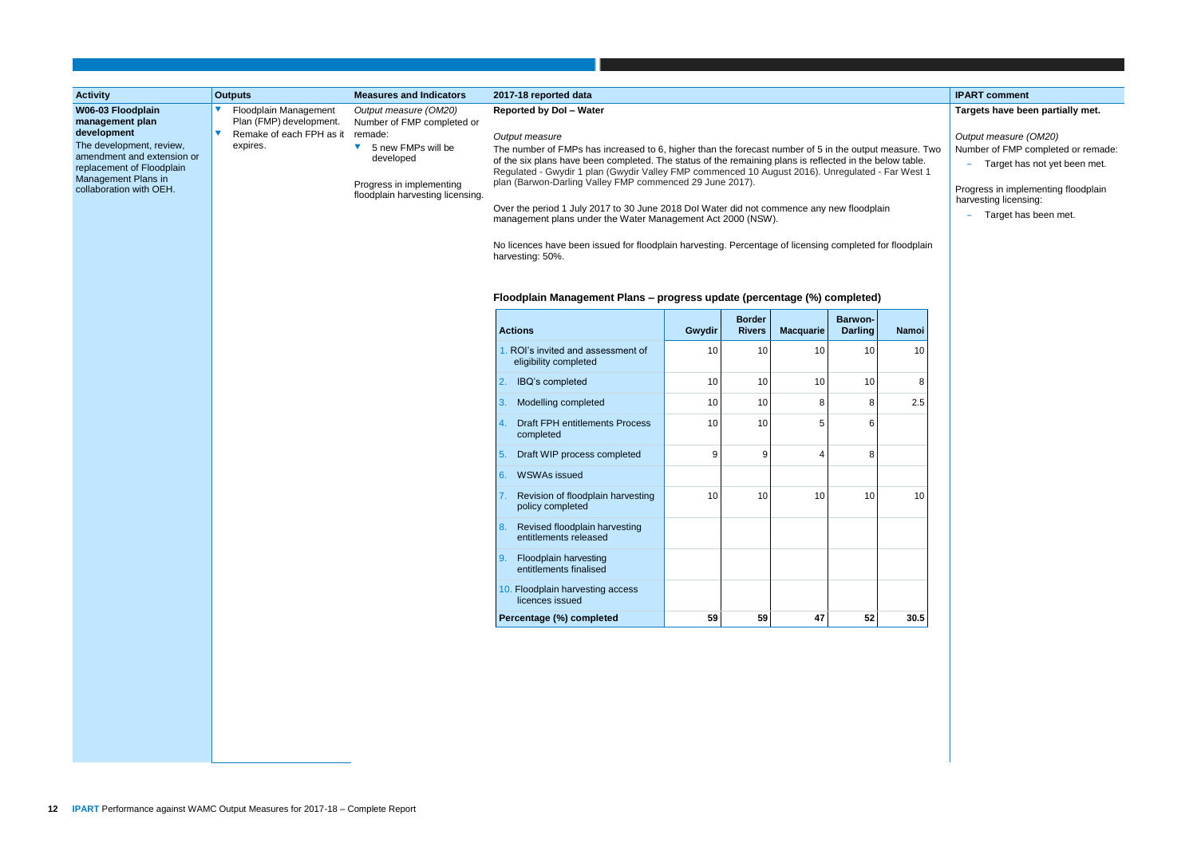|                                                                                                                                                                                                                 | <b>Outputs</b>                                                                           | <b>Measures and Indicators</b>                                                                                                                                                            | 2017-18 reported data                                                                                                                                                                                                                                                                                                                                                                                                                                                                                                                                                                                                                                                                                                                                                                                          |        |                                |                  |                                  |       |                                                                                                                                                                 |  |  |  |
|-----------------------------------------------------------------------------------------------------------------------------------------------------------------------------------------------------------------|------------------------------------------------------------------------------------------|-------------------------------------------------------------------------------------------------------------------------------------------------------------------------------------------|----------------------------------------------------------------------------------------------------------------------------------------------------------------------------------------------------------------------------------------------------------------------------------------------------------------------------------------------------------------------------------------------------------------------------------------------------------------------------------------------------------------------------------------------------------------------------------------------------------------------------------------------------------------------------------------------------------------------------------------------------------------------------------------------------------------|--------|--------------------------------|------------------|----------------------------------|-------|-----------------------------------------------------------------------------------------------------------------------------------------------------------------|--|--|--|
| <b>Activity</b><br>W06-03 Floodplain<br>management plan<br>development<br>The development, review,<br>amendment and extension or<br>replacement of Floodplain<br>Management Plans in<br>collaboration with OEH. | Floodplain Management<br>Plan (FMP) development.<br>Remake of each FPH as it<br>expires. | Output measure (OM20)<br>Number of FMP completed or<br>remade:<br>5 new FMPs will be<br>$\blacktriangledown$<br>developed<br>Progress in implementing<br>floodplain harvesting licensing. | <b>Reported by Dol - Water</b><br>Output measure<br>The number of FMPs has increased to 6, higher than the forecast number of 5 in the output measure. Two<br>of the six plans have been completed. The status of the remaining plans is reflected in the below table.<br>Regulated - Gwydir 1 plan (Gwydir Valley FMP commenced 10 August 2016). Unregulated - Far West 1<br>plan (Barwon-Darling Valley FMP commenced 29 June 2017).<br>Over the period 1 July 2017 to 30 June 2018 Dol Water did not commence any new floodplain<br>management plans under the Water Management Act 2000 (NSW).<br>No licences have been issued for floodplain harvesting. Percentage of licensing completed for floodplain<br>harvesting: 50%.<br>Floodplain Management Plans - progress update (percentage (%) completed) |        |                                |                  |                                  |       | <b>IPART</b> comment<br><b>Targets have be</b><br>Output measure<br>Number of FMP o<br>Target has<br>÷,<br>Progress in imple<br>harvesting licens<br>Target has |  |  |  |
|                                                                                                                                                                                                                 |                                                                                          |                                                                                                                                                                                           | <b>Actions</b>                                                                                                                                                                                                                                                                                                                                                                                                                                                                                                                                                                                                                                                                                                                                                                                                 | Gwydir | <b>Border</b><br><b>Rivers</b> | <b>Macquarie</b> | <b>Barwon-</b><br><b>Darling</b> | Namoi |                                                                                                                                                                 |  |  |  |
|                                                                                                                                                                                                                 |                                                                                          |                                                                                                                                                                                           | . ROI's invited and assessment of<br>eligibility completed                                                                                                                                                                                                                                                                                                                                                                                                                                                                                                                                                                                                                                                                                                                                                     | 10     | 10                             | 10               | 10                               | 10    |                                                                                                                                                                 |  |  |  |
|                                                                                                                                                                                                                 |                                                                                          |                                                                                                                                                                                           | IBQ's completed                                                                                                                                                                                                                                                                                                                                                                                                                                                                                                                                                                                                                                                                                                                                                                                                | 10     | 10                             | 10               | 10 <sup>°</sup>                  | 8     |                                                                                                                                                                 |  |  |  |
|                                                                                                                                                                                                                 |                                                                                          |                                                                                                                                                                                           | Modelling completed<br>3.                                                                                                                                                                                                                                                                                                                                                                                                                                                                                                                                                                                                                                                                                                                                                                                      | 10     | 10                             | 8                | 8                                | 2.5   |                                                                                                                                                                 |  |  |  |
|                                                                                                                                                                                                                 |                                                                                          |                                                                                                                                                                                           | <b>Draft FPH entitlements Process</b><br>completed                                                                                                                                                                                                                                                                                                                                                                                                                                                                                                                                                                                                                                                                                                                                                             | 10     | 10                             | 5                | 6                                |       |                                                                                                                                                                 |  |  |  |
|                                                                                                                                                                                                                 |                                                                                          |                                                                                                                                                                                           | Draft WIP process completed<br>5                                                                                                                                                                                                                                                                                                                                                                                                                                                                                                                                                                                                                                                                                                                                                                               | 9      | 9                              | 4                | 8                                |       |                                                                                                                                                                 |  |  |  |
|                                                                                                                                                                                                                 |                                                                                          |                                                                                                                                                                                           | 6.<br><b>WSWAs issued</b>                                                                                                                                                                                                                                                                                                                                                                                                                                                                                                                                                                                                                                                                                                                                                                                      |        |                                |                  |                                  |       |                                                                                                                                                                 |  |  |  |
|                                                                                                                                                                                                                 |                                                                                          |                                                                                                                                                                                           | Revision of floodplain harvesting<br>policy completed                                                                                                                                                                                                                                                                                                                                                                                                                                                                                                                                                                                                                                                                                                                                                          | 10     | 10                             | 10               | 10                               | 10    |                                                                                                                                                                 |  |  |  |
|                                                                                                                                                                                                                 |                                                                                          |                                                                                                                                                                                           | 8.<br>Revised floodplain harvesting<br>entitlements released                                                                                                                                                                                                                                                                                                                                                                                                                                                                                                                                                                                                                                                                                                                                                   |        |                                |                  |                                  |       |                                                                                                                                                                 |  |  |  |
|                                                                                                                                                                                                                 |                                                                                          |                                                                                                                                                                                           | <b>Floodplain harvesting</b><br>9.<br>entitlements finalised                                                                                                                                                                                                                                                                                                                                                                                                                                                                                                                                                                                                                                                                                                                                                   |        |                                |                  |                                  |       |                                                                                                                                                                 |  |  |  |
|                                                                                                                                                                                                                 |                                                                                          |                                                                                                                                                                                           | 10. Floodplain harvesting access<br>licences issued                                                                                                                                                                                                                                                                                                                                                                                                                                                                                                                                                                                                                                                                                                                                                            |        |                                |                  |                                  |       |                                                                                                                                                                 |  |  |  |
|                                                                                                                                                                                                                 |                                                                                          |                                                                                                                                                                                           | Percentage (%) completed                                                                                                                                                                                                                                                                                                                                                                                                                                                                                                                                                                                                                                                                                                                                                                                       | 59     | 59                             | 47               | 52                               | 30.5  |                                                                                                                                                                 |  |  |  |

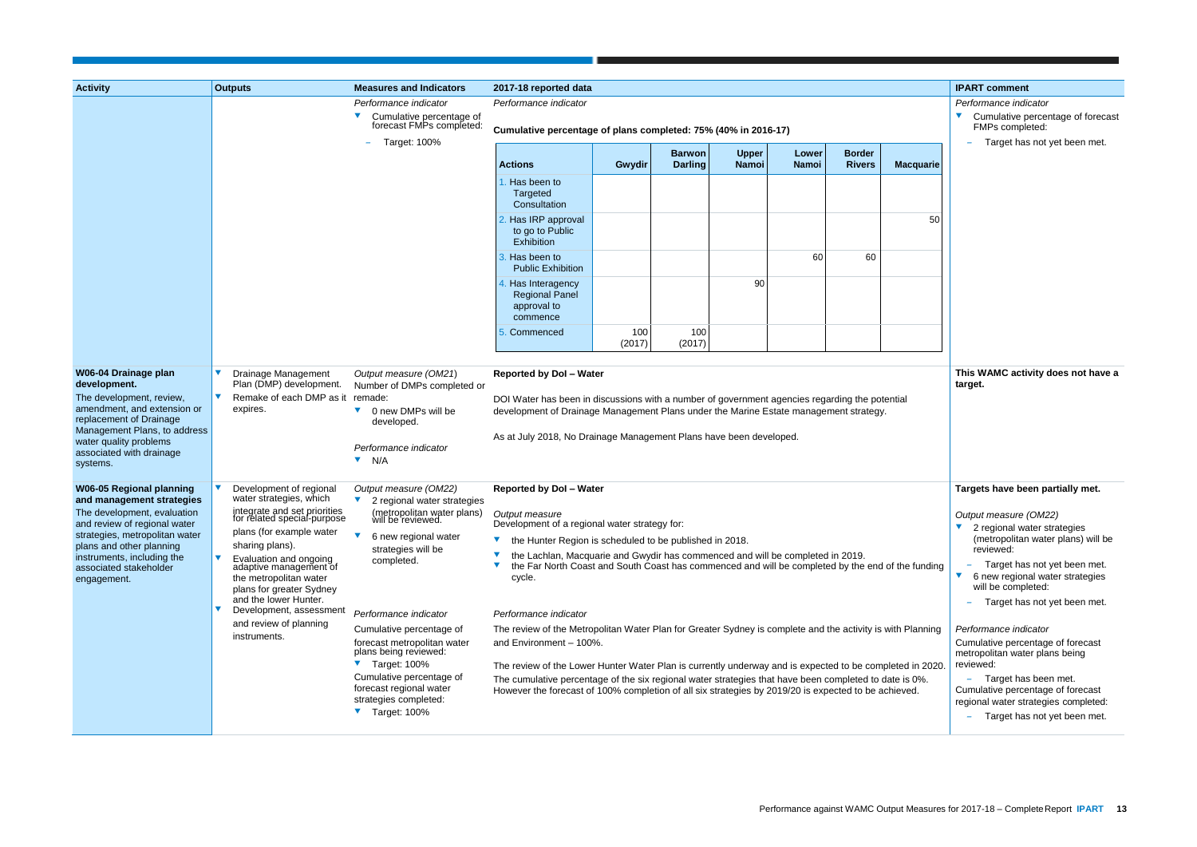| <b>Activity</b>                                                                                                                                                                                                              | <b>Outputs</b>                                                                                                                                     | <b>Measures and Indicators</b>                                                                                                                     | 2017-18 reported data                                                                                                                                                                                                                                                                                                      |               |                                 |                              |                       |                                |                                | <b>IPART</b> comment                                                            |
|------------------------------------------------------------------------------------------------------------------------------------------------------------------------------------------------------------------------------|----------------------------------------------------------------------------------------------------------------------------------------------------|----------------------------------------------------------------------------------------------------------------------------------------------------|----------------------------------------------------------------------------------------------------------------------------------------------------------------------------------------------------------------------------------------------------------------------------------------------------------------------------|---------------|---------------------------------|------------------------------|-----------------------|--------------------------------|--------------------------------|---------------------------------------------------------------------------------|
|                                                                                                                                                                                                                              |                                                                                                                                                    | Performance indicator<br>Cumulative percentage of<br>forecast FMPs completed:                                                                      | Performance indicator                                                                                                                                                                                                                                                                                                      |               |                                 |                              |                       |                                |                                | Performance indi<br>Cumulative p<br>FMPs comple                                 |
|                                                                                                                                                                                                                              |                                                                                                                                                    | <b>Target: 100%</b>                                                                                                                                | Cumulative percentage of plans completed: 75% (40% in 2016-17)                                                                                                                                                                                                                                                             |               |                                 |                              |                       |                                |                                | Target has                                                                      |
|                                                                                                                                                                                                                              |                                                                                                                                                    |                                                                                                                                                    | <b>Actions</b>                                                                                                                                                                                                                                                                                                             | Gwydir        | <b>Barwon</b><br><b>Darling</b> | <b>Upper</b><br><b>Namoi</b> | Lower<br><b>Namoi</b> | <b>Border</b><br><b>Rivers</b> | <b>Macquarie</b>               |                                                                                 |
|                                                                                                                                                                                                                              |                                                                                                                                                    |                                                                                                                                                    | Has been to<br>Targeted<br>Consultation                                                                                                                                                                                                                                                                                    |               |                                 |                              |                       |                                |                                |                                                                                 |
|                                                                                                                                                                                                                              |                                                                                                                                                    |                                                                                                                                                    | Has IRP approval<br>to go to Public<br>Exhibition                                                                                                                                                                                                                                                                          |               |                                 |                              |                       |                                | 50                             |                                                                                 |
|                                                                                                                                                                                                                              |                                                                                                                                                    |                                                                                                                                                    | Has been to<br><b>Public Exhibition</b>                                                                                                                                                                                                                                                                                    |               |                                 |                              | 60                    | 60                             |                                |                                                                                 |
|                                                                                                                                                                                                                              |                                                                                                                                                    |                                                                                                                                                    | Has Interagency<br><b>Regional Panel</b><br>approval to<br>commence                                                                                                                                                                                                                                                        |               |                                 | 90                           |                       |                                |                                |                                                                                 |
|                                                                                                                                                                                                                              |                                                                                                                                                    |                                                                                                                                                    | Commenced                                                                                                                                                                                                                                                                                                                  | 100<br>(2017) | 100<br>(2017)                   |                              |                       |                                |                                |                                                                                 |
| W06-04 Drainage plan<br>development.<br>The development, review,<br>amendment, and extension or<br>replacement of Drainage<br>Management Plans, to address<br>water quality problems<br>associated with drainage<br>systems. | Drainage Management<br>Plan (DMP) development.<br>Remake of each DMP as it remade:<br>expires.                                                     | Output measure (OM21)<br>Number of DMPs completed or<br>0 new DMPs will be<br>v<br>developed.<br>Performance indicator<br>$\blacktriangledown$ N/A | <b>Reported by Dol - Water</b><br>DOI Water has been in discussions with a number of government agencies regarding the potential<br>development of Drainage Management Plans under the Marine Estate management strategy.<br>As at July 2018, No Drainage Management Plans have been developed.                            |               |                                 |                              |                       |                                |                                | <b>This WAMC acti</b><br>target.                                                |
| <b>W06-05 Regional planning</b><br>and management strategies<br>The development, evaluation                                                                                                                                  | Development of regional<br>water strategies, which<br>integrate and set priorities<br>for related special-purpose                                  | Output measure (OM22)<br>2 regional water strategies<br>(metropolitan water plans)<br>will be reviewed.                                            | <b>Reported by Dol - Water</b><br>Output measure                                                                                                                                                                                                                                                                           |               |                                 |                              |                       |                                |                                | <b>Targets have be</b><br>Output measure                                        |
| and review of regional water<br>strategies, metropolitan water<br>plans and other planning<br>instruments, including the<br>associated stakeholder<br>engagement.                                                            | plans (for example water                                                                                                                           | 6 new regional water                                                                                                                               | Development of a regional water strategy for:<br>the Hunter Region is scheduled to be published in 2018.                                                                                                                                                                                                                   |               |                                 |                              |                       |                                | 2 regional wa<br>(metropolitan |                                                                                 |
|                                                                                                                                                                                                                              | sharing plans).<br>Evaluation and ongoing<br>adaptive management of<br>the metropolitan water<br>plans for greater Sydney<br>and the lower Hunter. | strategies will be<br>completed.                                                                                                                   | the Lachlan, Macquarie and Gwydir has commenced and will be completed in 2019.<br>the Far North Coast and South Coast has commenced and will be completed by the end of the funding<br>cycle.                                                                                                                              |               |                                 |                              |                       |                                |                                | reviewed:<br>Target has<br>6 new region<br>will be compl<br>Target has          |
|                                                                                                                                                                                                                              | Development, assessment                                                                                                                            | Performance indicator                                                                                                                              | Performance indicator                                                                                                                                                                                                                                                                                                      |               |                                 |                              |                       |                                |                                |                                                                                 |
|                                                                                                                                                                                                                              | and review of planning<br>instruments.                                                                                                             | Cumulative percentage of<br>forecast metropolitan water<br>plans being reviewed:                                                                   | The review of the Metropolitan Water Plan for Greater Sydney is complete and the activity is with Planning<br>and Environment - 100%.                                                                                                                                                                                      |               |                                 |                              |                       |                                |                                | Performance indi<br>Cumulative perce<br>metropolitan wate                       |
|                                                                                                                                                                                                                              |                                                                                                                                                    | ▼ Target: 100%<br>Cumulative percentage of<br>forecast regional water<br>strategies completed:<br>$\blacktriangledown$ Target: 100%                | The review of the Lower Hunter Water Plan is currently underway and is expected to be completed in 2020.<br>The cumulative percentage of the six regional water strategies that have been completed to date is 0%.<br>However the forecast of 100% completion of all six strategies by 2019/20 is expected to be achieved. |               |                                 |                              |                       |                                |                                | reviewed:<br>Target has<br>Cumulative perce<br>regional water str<br>Target has |

|                                         | <b>IPART comment</b>                                                                                                                                                                                                                           |
|-----------------------------------------|------------------------------------------------------------------------------------------------------------------------------------------------------------------------------------------------------------------------------------------------|
|                                         | Performance indicator<br>Cumulative percentage of forecast<br>FMPs completed:<br>Target has not yet been met.                                                                                                                                  |
| acquarie                                |                                                                                                                                                                                                                                                |
| 50                                      |                                                                                                                                                                                                                                                |
| ı                                       | This WAMC activity does not have a<br>target.                                                                                                                                                                                                  |
|                                         | Targets have been partially met.                                                                                                                                                                                                               |
| e funding                               | Output measure (OM22)<br>2 regional water strategies<br>(metropolitan water plans) will be<br>reviewed:<br>Target has not yet been met.<br>6 new regional water strategies<br>will be completed:<br>Target has not yet been met.               |
| Planning<br>d in 2020.<br>s 0%.<br>/ed. | Performance indicator<br>Cumulative percentage of forecast<br>metropolitan water plans being<br>reviewed:<br>Target has been met.<br>Cumulative percentage of forecast<br>regional water strategies completed:<br>Target has not yet been met. |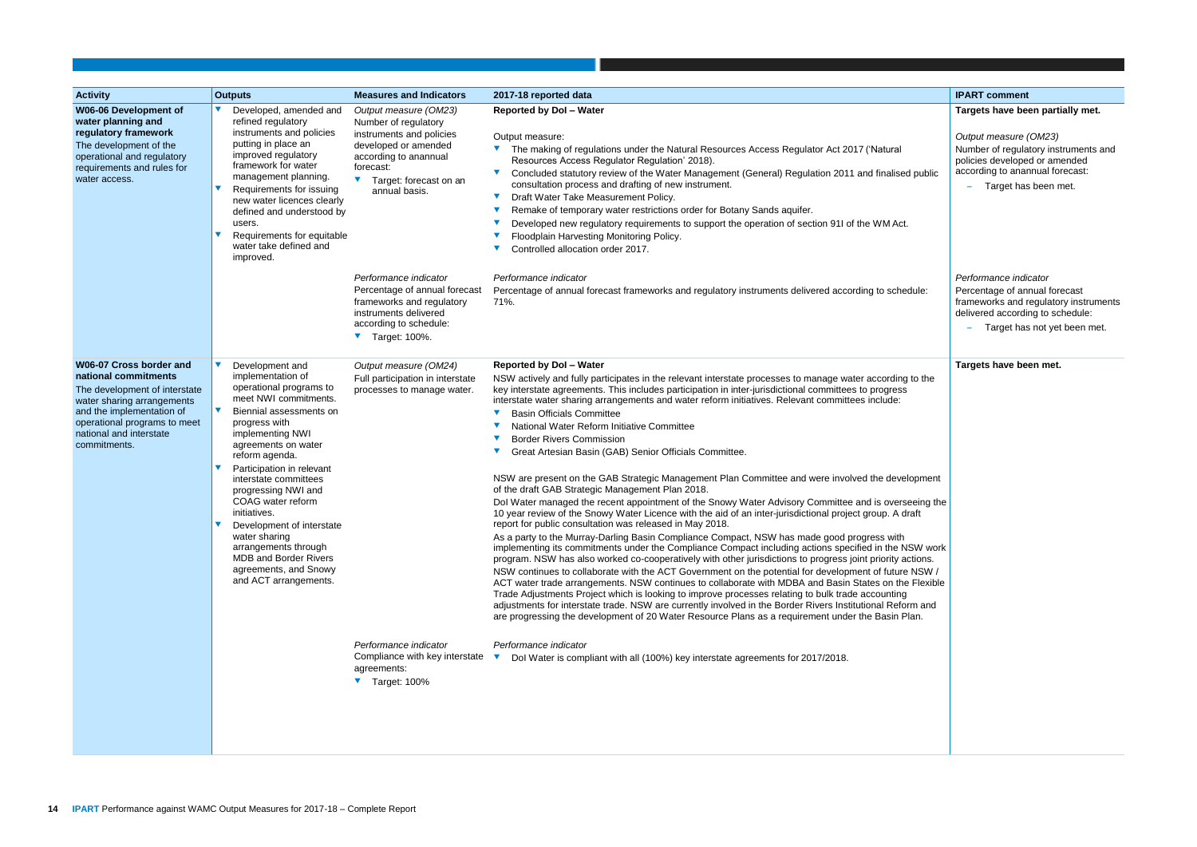| <b>Activity</b>                                                                                                                                                                                                        | <b>Outputs</b>                                                                                                                                                                                                                                                                                                                                                                                                                                                              | <b>Measures and Indicators</b>                                                                                                                                                      | 2017-18 reported data                                                                                                                                                                                                                                                                                                                                                                                                                                                                                                                                                                                                                                                                                                                                                                                                                                                                                                                                                                                                                                                                                                                                                                                                                                                                                                                                                                                                                                                                                                                                                                                                                                                                                                                                                                                                                                                                                                                                                              | <b>IPART comment</b>                                                                                                                                                                          |
|------------------------------------------------------------------------------------------------------------------------------------------------------------------------------------------------------------------------|-----------------------------------------------------------------------------------------------------------------------------------------------------------------------------------------------------------------------------------------------------------------------------------------------------------------------------------------------------------------------------------------------------------------------------------------------------------------------------|-------------------------------------------------------------------------------------------------------------------------------------------------------------------------------------|------------------------------------------------------------------------------------------------------------------------------------------------------------------------------------------------------------------------------------------------------------------------------------------------------------------------------------------------------------------------------------------------------------------------------------------------------------------------------------------------------------------------------------------------------------------------------------------------------------------------------------------------------------------------------------------------------------------------------------------------------------------------------------------------------------------------------------------------------------------------------------------------------------------------------------------------------------------------------------------------------------------------------------------------------------------------------------------------------------------------------------------------------------------------------------------------------------------------------------------------------------------------------------------------------------------------------------------------------------------------------------------------------------------------------------------------------------------------------------------------------------------------------------------------------------------------------------------------------------------------------------------------------------------------------------------------------------------------------------------------------------------------------------------------------------------------------------------------------------------------------------------------------------------------------------------------------------------------------------|-----------------------------------------------------------------------------------------------------------------------------------------------------------------------------------------------|
| W06-06 Development of<br>water planning and<br>regulatory framework<br>The development of the<br>operational and regulatory<br>requirements and rules for<br>water access.                                             | Developed, amended and<br>refined regulatory<br>instruments and policies<br>putting in place an<br>improved regulatory<br>framework for water<br>management planning.<br>Requirements for issuing<br>new water licences clearly<br>defined and understood by<br>users.<br>Requirements for equitable<br>water take defined and<br>improved.                                                                                                                                 | Output measure (OM23)<br>Number of regulatory<br>instruments and policies<br>developed or amended<br>according to anannual<br>forecast:<br>Target: forecast on an<br>annual basis.  | <b>Reported by Dol - Water</b><br>Output measure:<br>The making of regulations under the Natural Resources Access Regulator Act 2017 ('Natural<br>Resources Access Regulator Regulation' 2018).<br>Concluded statutory review of the Water Management (General) Regulation 2011 and finalised public<br>consultation process and drafting of new instrument.<br>Draft Water Take Measurement Policy.<br>Remake of temporary water restrictions order for Botany Sands aquifer.<br>Developed new regulatory requirements to support the operation of section 91I of the WM Act.<br>Floodplain Harvesting Monitoring Policy.<br>Controlled allocation order 2017.                                                                                                                                                                                                                                                                                                                                                                                                                                                                                                                                                                                                                                                                                                                                                                                                                                                                                                                                                                                                                                                                                                                                                                                                                                                                                                                    | Targets have been partially met.<br>Output measure (OM23)<br>Number of regulatory instruments and<br>policies developed or amended<br>according to anannual forecast:<br>Target has been met. |
|                                                                                                                                                                                                                        |                                                                                                                                                                                                                                                                                                                                                                                                                                                                             | Performance indicator<br>Percentage of annual forecast<br>frameworks and regulatory<br>instruments delivered<br>according to schedule:<br>▼ Target: 100%.                           | Performance indicator<br>Percentage of annual forecast frameworks and regulatory instruments delivered according to schedule:<br>71%.                                                                                                                                                                                                                                                                                                                                                                                                                                                                                                                                                                                                                                                                                                                                                                                                                                                                                                                                                                                                                                                                                                                                                                                                                                                                                                                                                                                                                                                                                                                                                                                                                                                                                                                                                                                                                                              | Performance indicator<br>Percentage of annual forecast<br>frameworks and regulatory instruments<br>delivered according to schedule:<br>Target has not yet been met.                           |
| W06-07 Cross border and<br>national commitments<br>The development of interstate<br>water sharing arrangements<br>and the implementation of<br>operational programs to meet<br>national and interstate<br>commitments. | Development and<br>implementation of<br>operational programs to<br>meet NWI commitments.<br>Biennial assessments on<br>progress with<br>implementing NWI<br>agreements on water<br>reform agenda.<br>Participation in relevant<br>interstate committees<br>progressing NWI and<br>COAG water reform<br>initiatives.<br>Development of interstate<br>water sharing<br>arrangements through<br><b>MDB and Border Rivers</b><br>agreements, and Snowy<br>and ACT arrangements. | Output measure (OM24)<br>Full participation in interstate<br>processes to manage water.<br>Performance indicator<br>Compliance with key interstate<br>agreements:<br>▼ Target: 100% | <b>Reported by Dol - Water</b><br>NSW actively and fully participates in the relevant interstate processes to manage water according to the<br>key interstate agreements. This includes participation in inter-jurisdictional committees to progress<br>interstate water sharing arrangements and water reform initiatives. Relevant committees include:<br><b>Basin Officials Committee</b><br>National Water Reform Initiative Committee<br><b>Border Rivers Commission</b><br>Great Artesian Basin (GAB) Senior Officials Committee.<br>NSW are present on the GAB Strategic Management Plan Committee and were involved the development<br>of the draft GAB Strategic Management Plan 2018.<br>Dol Water managed the recent appointment of the Snowy Water Advisory Committee and is overseeing the<br>10 year review of the Snowy Water Licence with the aid of an inter-jurisdictional project group. A draft<br>report for public consultation was released in May 2018.<br>As a party to the Murray-Darling Basin Compliance Compact, NSW has made good progress with<br>implementing its commitments under the Compliance Compact including actions specified in the NSW work<br>program. NSW has also worked co-cooperatively with other jurisdictions to progress joint priority actions.<br>NSW continues to collaborate with the ACT Government on the potential for development of future NSW /<br>ACT water trade arrangements. NSW continues to collaborate with MDBA and Basin States on the Flexible<br>Trade Adjustments Project which is looking to improve processes relating to bulk trade accounting<br>adjustments for interstate trade. NSW are currently involved in the Border Rivers Institutional Reform and<br>are progressing the development of 20 Water Resource Plans as a requirement under the Basin Plan.<br>Performance indicator<br>Dol Water is compliant with all (100%) key interstate agreements for 2017/2018.<br>$\blacktriangledown$ | Targets have been met.                                                                                                                                                                        |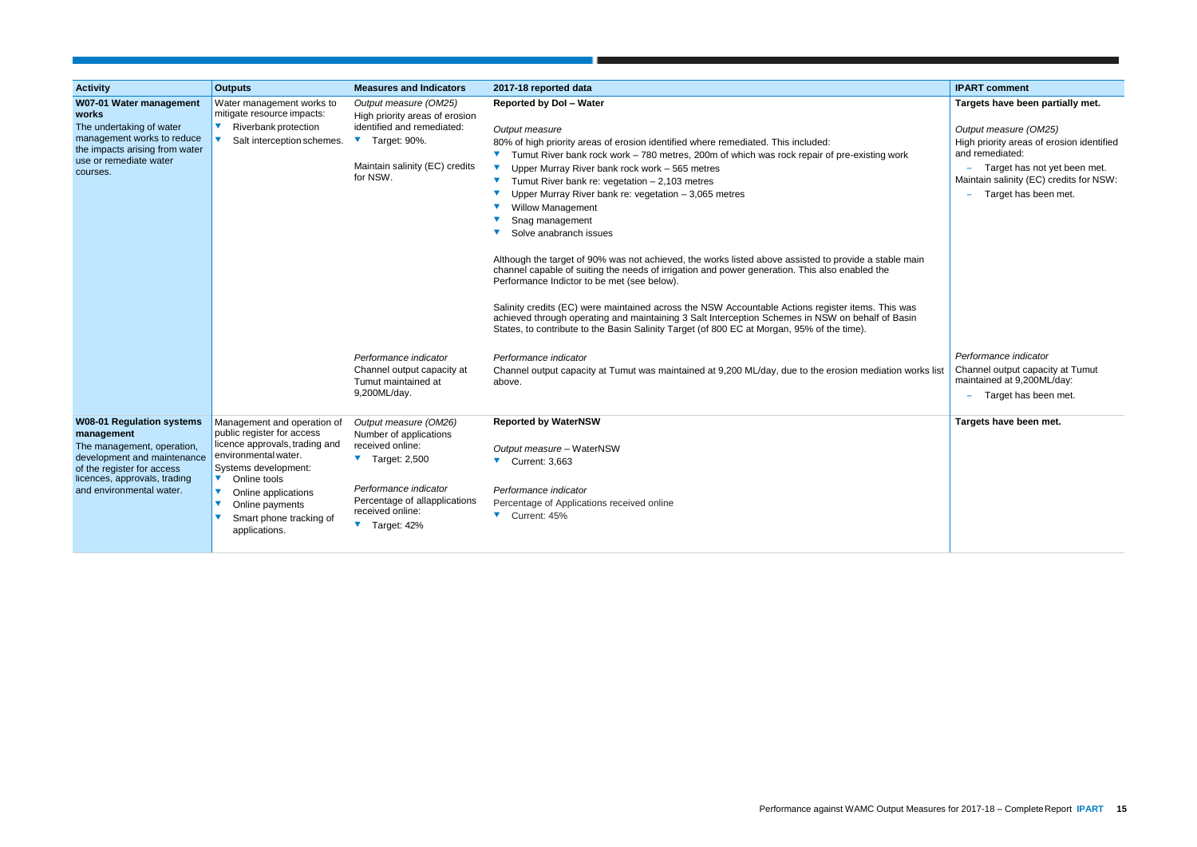|            | <b>IPART comment</b>                                                                                                                                                                     |
|------------|------------------------------------------------------------------------------------------------------------------------------------------------------------------------------------------|
|            | Targets have been partially met.                                                                                                                                                         |
| k          | Output measure (OM25)<br>High priority areas of erosion identified<br>and remediated:<br>Target has not yet been met.<br>Maintain salinity (EC) credits for NSW:<br>Target has been met. |
|            |                                                                                                                                                                                          |
| main       |                                                                                                                                                                                          |
| /as<br>sin |                                                                                                                                                                                          |
| works list | Performance indicator<br>Channel output capacity at Tumut<br>maintained at 9,200ML/day:<br>Target has been met.                                                                          |
|            | Targets have been met.                                                                                                                                                                   |
|            |                                                                                                                                                                                          |
|            |                                                                                                                                                                                          |
|            |                                                                                                                                                                                          |
|            |                                                                                                                                                                                          |
|            |                                                                                                                                                                                          |

| <b>Activity</b>                                                                                                                                                                                       | <b>Outputs</b>                                                                                                                                                                                                                                                                                    | <b>Measures and Indicators</b>                                                                                                                                                                                              | 2017-18 reported data                                                                                                                                                                                                                                                                                                                                                                                                                                                                                                                                                                                                                                                                                                                                                                                                                                                                                                                                                                                                                                                 | <b>IPART comment</b>                                                                                                                                                          |
|-------------------------------------------------------------------------------------------------------------------------------------------------------------------------------------------------------|---------------------------------------------------------------------------------------------------------------------------------------------------------------------------------------------------------------------------------------------------------------------------------------------------|-----------------------------------------------------------------------------------------------------------------------------------------------------------------------------------------------------------------------------|-----------------------------------------------------------------------------------------------------------------------------------------------------------------------------------------------------------------------------------------------------------------------------------------------------------------------------------------------------------------------------------------------------------------------------------------------------------------------------------------------------------------------------------------------------------------------------------------------------------------------------------------------------------------------------------------------------------------------------------------------------------------------------------------------------------------------------------------------------------------------------------------------------------------------------------------------------------------------------------------------------------------------------------------------------------------------|-------------------------------------------------------------------------------------------------------------------------------------------------------------------------------|
| W07-01 Water management<br>works<br>The undertaking of water<br>management works to reduce<br>the impacts arising from water<br>use or remediate water<br>courses.                                    | Water management works to<br>mitigate resource impacts:<br>Riverbank protection<br>Salt interception schemes.                                                                                                                                                                                     | Output measure (OM25)<br>High priority areas of erosion<br>identified and remediated:<br>Target: 90%.<br>Maintain salinity (EC) credits<br>for NSW.                                                                         | <b>Reported by Dol - Water</b><br>Output measure<br>80% of high priority areas of erosion identified where remediated. This included:<br>Tumut River bank rock work - 780 metres, 200m of which was rock repair of pre-existing work<br>Upper Murray River bank rock work - 565 metres<br>Tumut River bank re: vegetation $-2,103$ metres<br>Upper Murray River bank re: vegetation $-3,065$ metres<br><b>Willow Management</b><br>Snag management<br>Solve anabranch issues<br>$\blacktriangledown$<br>Although the target of 90% was not achieved, the works listed above assisted to provide a stable main<br>channel capable of suiting the needs of irrigation and power generation. This also enabled the<br>Performance Indictor to be met (see below).<br>Salinity credits (EC) were maintained across the NSW Accountable Actions register items. This was<br>achieved through operating and maintaining 3 Salt Interception Schemes in NSW on behalf of Basin<br>States, to contribute to the Basin Salinity Target (of 800 EC at Morgan, 95% of the time). | Targets have been part<br>Output measure (OM25)<br>High priority areas of ero<br>and remediated:<br>- Target has not yet<br>Maintain salinity (EC) cre<br>- Target has been n |
|                                                                                                                                                                                                       |                                                                                                                                                                                                                                                                                                   | Performance indicator<br>Channel output capacity at<br>Tumut maintained at<br>9,200ML/day.                                                                                                                                  | Performance indicator<br>Channel output capacity at Tumut was maintained at 9,200 ML/day, due to the erosion mediation works list<br>above.                                                                                                                                                                                                                                                                                                                                                                                                                                                                                                                                                                                                                                                                                                                                                                                                                                                                                                                           | Performance indicator<br>Channel output capacity<br>maintained at 9,200ML/d<br>Target has been r                                                                              |
| <b>W08-01 Regulation systems</b><br>management<br>The management, operation,<br>development and maintenance<br>of the register for access<br>licences, approvals, trading<br>and environmental water. | Management and operation of<br>public register for access<br>licence approvals, trading and<br>environmental water.<br>Systems development:<br>$\blacktriangledown$<br>Online tools<br>$\blacktriangledown$<br>Online applications<br>Online payments<br>Smart phone tracking of<br>applications. | Output measure (OM26)<br>Number of applications<br>received online:<br>$\blacktriangledown$ Target: 2,500<br>Performance indicator<br>Percentage of allapplications<br>received online:<br>$\blacktriangledown$ Target: 42% | <b>Reported by WaterNSW</b><br>Output measure - WaterNSW<br>$\blacktriangledown$ Current: 3,663<br>Performance indicator<br>Percentage of Applications received online<br>▼ Current: 45%                                                                                                                                                                                                                                                                                                                                                                                                                                                                                                                                                                                                                                                                                                                                                                                                                                                                              | Targets have been met.                                                                                                                                                        |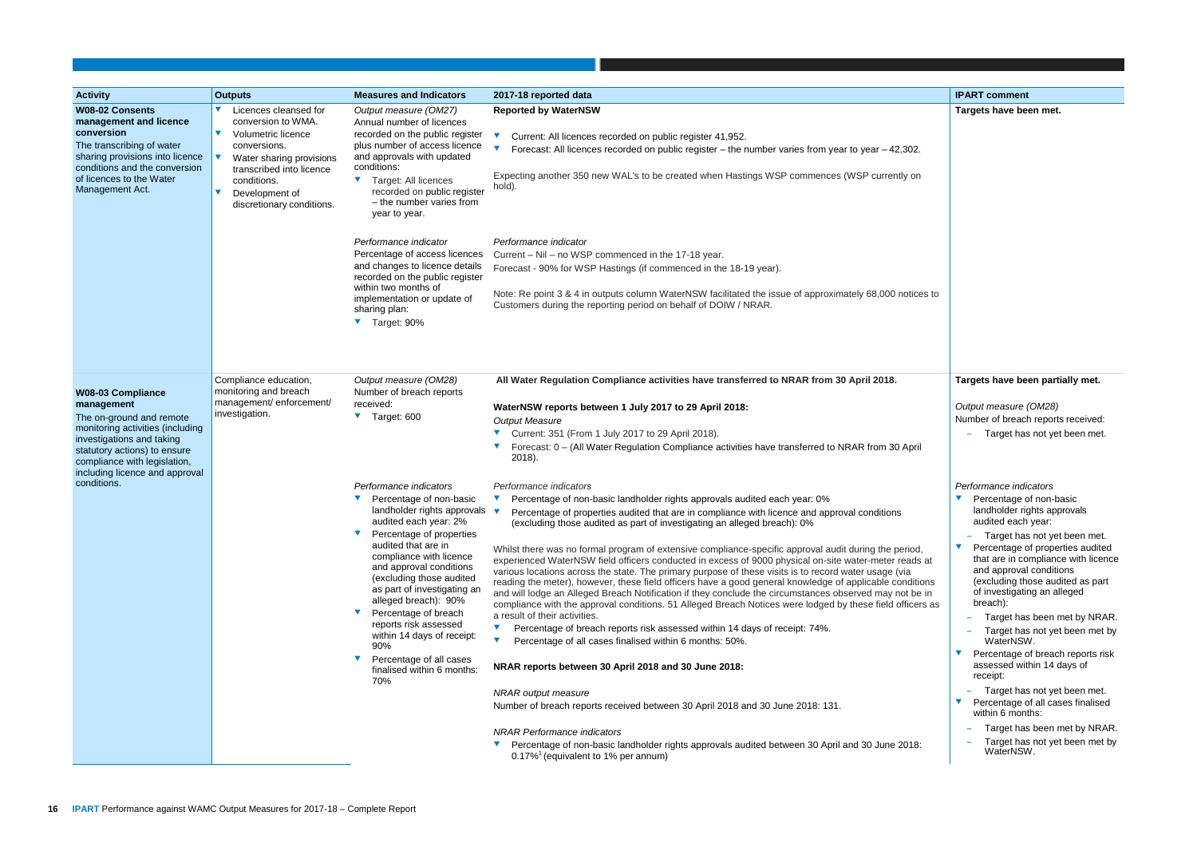| <b>Activity</b>                                                                                                                                                                                                                                      | <b>Outputs</b>                                                                                                                                                                                                                  | <b>Measures and Indicators</b>                                                                                                                                                                                                                                                                                                                                                                                                                                                                                          | 2017-18 reported data                                                                                                                                                                                                                                                                                                                                                                                                                                                                                                                                                                                                                                                                                                                                                                                                                                                                                                                                                                                                                                                                                                                                                                                                                                                                                                                                                                   | <b>IPART</b> comment                                                                                                                                                                                                                                                                                                     |
|------------------------------------------------------------------------------------------------------------------------------------------------------------------------------------------------------------------------------------------------------|---------------------------------------------------------------------------------------------------------------------------------------------------------------------------------------------------------------------------------|-------------------------------------------------------------------------------------------------------------------------------------------------------------------------------------------------------------------------------------------------------------------------------------------------------------------------------------------------------------------------------------------------------------------------------------------------------------------------------------------------------------------------|-----------------------------------------------------------------------------------------------------------------------------------------------------------------------------------------------------------------------------------------------------------------------------------------------------------------------------------------------------------------------------------------------------------------------------------------------------------------------------------------------------------------------------------------------------------------------------------------------------------------------------------------------------------------------------------------------------------------------------------------------------------------------------------------------------------------------------------------------------------------------------------------------------------------------------------------------------------------------------------------------------------------------------------------------------------------------------------------------------------------------------------------------------------------------------------------------------------------------------------------------------------------------------------------------------------------------------------------------------------------------------------------|--------------------------------------------------------------------------------------------------------------------------------------------------------------------------------------------------------------------------------------------------------------------------------------------------------------------------|
| <b>W08-02 Consents</b><br>management and licence<br>conversion<br>The transcribing of water<br>sharing provisions into licence<br>conditions and the conversion<br>of licences to the Water<br>Management Act.                                       | Licences cleansed for<br>conversion to WMA.<br>$\blacktriangledown$<br>Volumetric licence<br>conversions.<br>Water sharing provisions<br>transcribed into licence<br>conditions.<br>Development of<br>discretionary conditions. | Output measure (OM27)<br>Annual number of licences<br>recorded on the public register<br>plus number of access licence<br>and approvals with updated<br>conditions:<br>Target: All licences<br>$\blacktriangledown$<br>recorded on public register<br>- the number varies from<br>year to year.<br>Performance indicator<br>Percentage of access licences<br>and changes to licence details<br>recorded on the public register<br>within two months of<br>implementation or update of<br>sharing plan:<br>▼ Target: 90% | <b>Reported by WaterNSW</b><br>Current: All licences recorded on public register 41,952.<br>Forecast: All licences recorded on public register – the number varies from year to year $-42,302$ .<br>Expecting another 350 new WAL's to be created when Hastings WSP commences (WSP currently on<br>hold).<br>Performance indicator<br>Current - Nil - no WSP commenced in the 17-18 year.<br>Forecast - 90% for WSP Hastings (if commenced in the 18-19 year).<br>Note: Re point 3 & 4 in outputs column WaterNSW facilitated the issue of approximately 68,000 notices to<br>Customers during the reporting period on behalf of DOIW / NRAR.                                                                                                                                                                                                                                                                                                                                                                                                                                                                                                                                                                                                                                                                                                                                           | <b>Targets have be</b>                                                                                                                                                                                                                                                                                                   |
| <b>W08-03 Compliance</b><br>management<br>The on-ground and remote<br>monitoring activities (including<br>investigations and taking<br>statutory actions) to ensure<br>compliance with legislation,<br>including licence and approval<br>conditions. | Compliance education,<br>monitoring and breach<br>management/enforcement/<br>investigation.                                                                                                                                     | Output measure (OM28)<br>Number of breach reports<br>received:<br>Target: 600<br>Performance indicators<br>Percentage of non-basic                                                                                                                                                                                                                                                                                                                                                                                      | All Water Regulation Compliance activities have transferred to NRAR from 30 April 2018.<br>WaterNSW reports between 1 July 2017 to 29 April 2018:<br><b>Output Measure</b><br>Current: 351 (From 1 July 2017 to 29 April 2018).<br>Forecast: 0 - (All Water Regulation Compliance activities have transferred to NRAR from 30 April<br>2018).<br>Performance indicators<br>Percentage of non-basic landholder rights approvals audited each year: 0%                                                                                                                                                                                                                                                                                                                                                                                                                                                                                                                                                                                                                                                                                                                                                                                                                                                                                                                                    | <b>Targets have be</b><br>Output measure<br>Number of breacl<br>Target has<br>Performance indi<br>Percentage o                                                                                                                                                                                                           |
|                                                                                                                                                                                                                                                      |                                                                                                                                                                                                                                 | landholder rights approvals v<br>audited each year: 2%<br>Percentage of properties<br>audited that are in<br>compliance with licence<br>and approval conditions<br>(excluding those audited<br>as part of investigating an<br>alleged breach): 90%<br>Percentage of breach<br>reports risk assessed<br>within 14 days of receipt:<br>90%<br>Percentage of all cases<br>finalised within 6 months:<br>70%                                                                                                                | Percentage of properties audited that are in compliance with licence and approval conditions<br>(excluding those audited as part of investigating an alleged breach): 0%<br>Whilst there was no formal program of extensive compliance-specific approval audit during the period,<br>experienced WaterNSW field officers conducted in excess of 9000 physical on-site water-meter reads at<br>various locations across the state. The primary purpose of these visits is to record water usage (via<br>reading the meter), however, these field officers have a good general knowledge of applicable conditions<br>and will lodge an Alleged Breach Notification if they conclude the circumstances observed may not be in<br>compliance with the approval conditions. 51 Alleged Breach Notices were lodged by these field officers as<br>a result of their activities.<br>Percentage of breach reports risk assessed within 14 days of receipt: 74%.<br>Percentage of all cases finalised within 6 months: 50%.<br>NRAR reports between 30 April 2018 and 30 June 2018:<br><b>NRAR</b> output measure<br>Number of breach reports received between 30 April 2018 and 30 June 2018: 131.<br><b>NRAR Performance indicators</b><br>Percentage of non-basic landholder rights approvals audited between 30 April and 30 June 2018:<br>$0.17\%$ <sup>1</sup> (equivalent to 1% per annum) | landholder rid<br>audited each<br>Target has<br>Percentage o<br>that are in co<br>and approval<br>(excluding th<br>of investigati<br>breach):<br>Target has<br>Target has<br>WaterNSV<br>Percentage o<br>assessed wit<br>receipt:<br>Target has<br>Percentage o<br>within 6 mont<br>Target has<br>Target has<br>WaterNSV |

|                     | <b>IPART comment</b>                                            |
|---------------------|-----------------------------------------------------------------|
|                     | Targets have been met.                                          |
|                     |                                                                 |
| 302.                |                                                                 |
|                     |                                                                 |
| y on                |                                                                 |
|                     |                                                                 |
|                     |                                                                 |
|                     |                                                                 |
|                     |                                                                 |
|                     |                                                                 |
| otices to           |                                                                 |
|                     |                                                                 |
|                     |                                                                 |
|                     |                                                                 |
|                     |                                                                 |
|                     | Targets have been partially met.                                |
|                     | Output measure (OM28)                                           |
|                     | Number of breach reports received:                              |
| April               | Target has not yet been met.                                    |
|                     |                                                                 |
|                     | Performance indicators                                          |
|                     | Percentage of non-basic                                         |
|                     | landholder rights approvals                                     |
|                     | audited each year:<br>Target has not yet been met.              |
| riod,               | Percentage of properties audited                                |
| eads at<br>ia       | that are in compliance with licence<br>and approval conditions  |
| ditions<br>ot be in | (excluding those audited as part<br>of investigating an alleged |
| ficers as           | breach):                                                        |
|                     | Target has been met by NRAR.                                    |
|                     | Target has not yet been met by<br>WaterNSW.                     |
|                     | Percentage of breach reports risk<br>assessed within 14 days of |
|                     | receipt:                                                        |
|                     | Target has not yet been met.                                    |
|                     | Percentage of all cases finalised<br>within 6 months:           |
|                     | Target has been met by NRAR.                                    |
| 018:                | Target has not yet been met by<br>WaterNSW.                     |
|                     |                                                                 |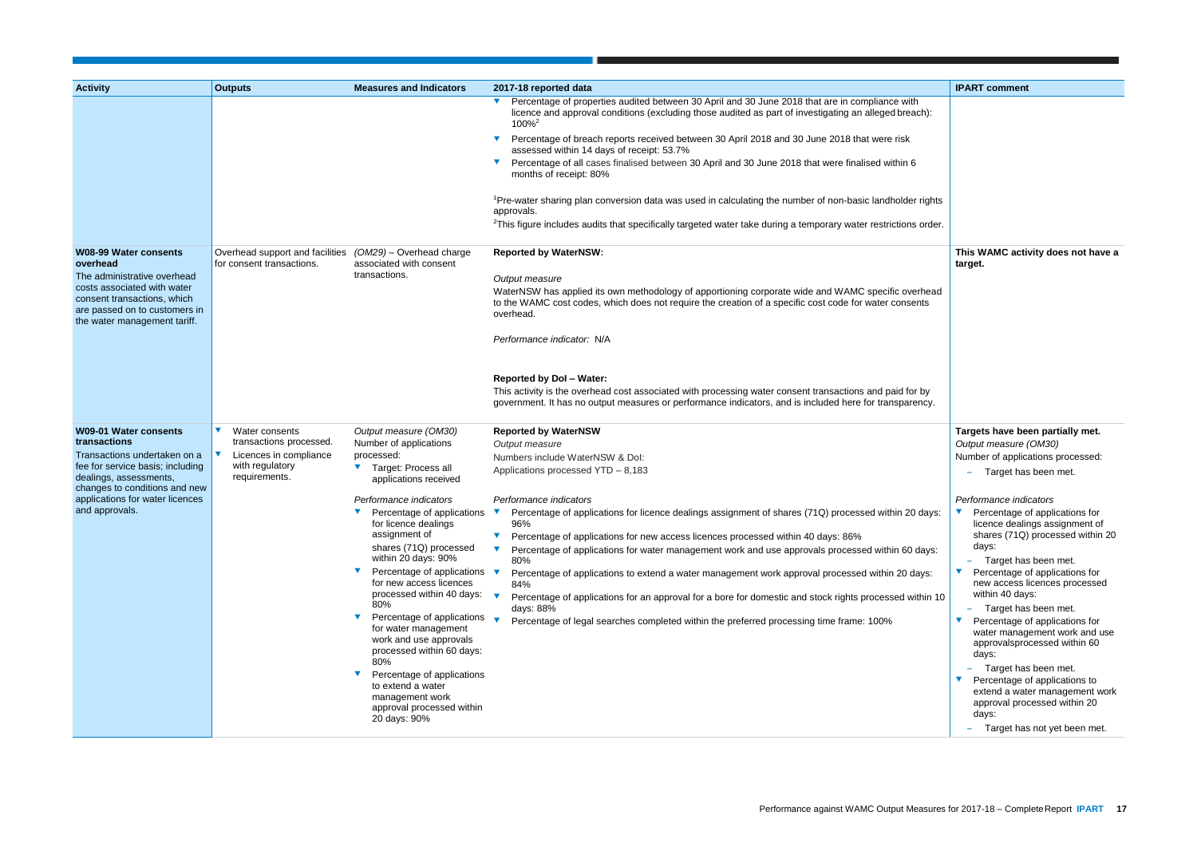| <b>Activity</b>                                                                                                             | <b>Outputs</b>                                               | <b>Measures and Indicators</b>                                                     | 2017-18 reported data                                                                                                                                                                                                        | <b>IPART comment</b>                                                   |
|-----------------------------------------------------------------------------------------------------------------------------|--------------------------------------------------------------|------------------------------------------------------------------------------------|------------------------------------------------------------------------------------------------------------------------------------------------------------------------------------------------------------------------------|------------------------------------------------------------------------|
|                                                                                                                             |                                                              |                                                                                    | Percentage of properties audited between 30 April and 30 June 2018 that are in compliance with<br>licence and approval conditions (excluding those audited as part of investigating an alleged breach):<br>100% <sup>2</sup> |                                                                        |
|                                                                                                                             |                                                              |                                                                                    | Percentage of breach reports received between 30 April 2018 and 30 June 2018 that were risk<br>assessed within 14 days of receipt: 53.7%                                                                                     |                                                                        |
|                                                                                                                             |                                                              |                                                                                    | Percentage of all cases finalised between 30 April and 30 June 2018 that were finalised within 6<br>months of receipt: 80%                                                                                                   |                                                                        |
|                                                                                                                             |                                                              |                                                                                    | <sup>1</sup> Pre-water sharing plan conversion data was used in calculating the number of non-basic landholder rights<br>approvals.                                                                                          |                                                                        |
|                                                                                                                             |                                                              |                                                                                    | <sup>2</sup> This figure includes audits that specifically targeted water take during a temporary water restrictions order.                                                                                                  |                                                                        |
| <b>W08-99 Water consents</b><br>overhead                                                                                    | Overhead support and facilities<br>for consent transactions. | $(OM29)$ – Overhead charge<br>associated with consent                              | <b>Reported by WaterNSW:</b>                                                                                                                                                                                                 | This WAMC activity does not have a<br>target.                          |
| The administrative overhead                                                                                                 |                                                              | transactions.                                                                      | Output measure                                                                                                                                                                                                               |                                                                        |
| costs associated with water<br>consent transactions, which<br>are passed on to customers in<br>the water management tariff. |                                                              |                                                                                    | WaterNSW has applied its own methodology of apportioning corporate wide and WAMC specific overhead<br>to the WAMC cost codes, which does not require the creation of a specific cost code for water consents<br>overhead.    |                                                                        |
|                                                                                                                             |                                                              |                                                                                    | Performance indicator: N/A                                                                                                                                                                                                   |                                                                        |
|                                                                                                                             |                                                              |                                                                                    | <b>Reported by Dol - Water:</b>                                                                                                                                                                                              |                                                                        |
|                                                                                                                             |                                                              |                                                                                    | This activity is the overhead cost associated with processing water consent transactions and paid for by<br>government. It has no output measures or performance indicators, and is included here for transparency.          |                                                                        |
| <b>W09-01 Water consents</b>                                                                                                | Water consents<br>$\blacktriangledown$                       | Output measure (OM30)                                                              | <b>Reported by WaterNSW</b>                                                                                                                                                                                                  | Targets have been partially met.                                       |
| transactions                                                                                                                | transactions processed.                                      | Number of applications                                                             | Output measure                                                                                                                                                                                                               | Output measure (OM30)                                                  |
| Transactions undertaken on a                                                                                                | Licences in compliance                                       | processed:                                                                         | Numbers include WaterNSW & Dol:                                                                                                                                                                                              | Number of applications processed:                                      |
| fee for service basis; including<br>dealings, assessments,<br>changes to conditions and new                                 | with regulatory<br>requirements.                             | ▼ Target: Process all<br>applications received                                     | Applications processed YTD - 8,183                                                                                                                                                                                           | Target has been met.                                                   |
| applications for water licences                                                                                             |                                                              | Performance indicators                                                             | Performance indicators                                                                                                                                                                                                       | Performance indicators                                                 |
| and approvals.                                                                                                              |                                                              | Percentage of applications<br>for licence dealings                                 | Percentage of applications for licence dealings assignment of shares (71Q) processed within 20 days:<br>v<br>96%                                                                                                             | Percentage of applications for<br>licence dealings assignment of       |
|                                                                                                                             |                                                              | assignment of                                                                      | Percentage of applications for new access licences processed within 40 days: 86%                                                                                                                                             | shares (71Q) processed within 20                                       |
|                                                                                                                             |                                                              | shares (71Q) processed<br>within 20 days: 90%                                      | Percentage of applications for water management work and use approvals processed within 60 days:                                                                                                                             | days:                                                                  |
|                                                                                                                             |                                                              | Percentage of applications                                                         | 80%<br>Percentage of applications to extend a water management work approval processed within 20 days:                                                                                                                       | Target has been met.<br>Percentage of applications for                 |
|                                                                                                                             |                                                              | for new access licences                                                            | 84%                                                                                                                                                                                                                          | new access licences processed                                          |
|                                                                                                                             |                                                              | processed within 40 days:<br>80%                                                   | Percentage of applications for an approval for a bore for domestic and stock rights processed within 10<br>days: 88%                                                                                                         | within 40 days:<br>Target has been met.                                |
|                                                                                                                             |                                                              | $\blacktriangledown$<br>Percentage of applications                                 | Percentage of legal searches completed within the preferred processing time frame: 100%                                                                                                                                      | Percentage of applications for                                         |
|                                                                                                                             |                                                              | for water management<br>work and use approvals<br>processed within 60 days:<br>80% |                                                                                                                                                                                                                              | water management work and use<br>approvalsprocessed within 60<br>days: |
|                                                                                                                             |                                                              | Percentage of applications                                                         |                                                                                                                                                                                                                              | Target has been met.                                                   |
|                                                                                                                             |                                                              | to extend a water                                                                  |                                                                                                                                                                                                                              | Percentage of applications to<br>extend a water management work        |
|                                                                                                                             |                                                              | management work                                                                    |                                                                                                                                                                                                                              | approval processed within 20                                           |
|                                                                                                                             |                                                              | approval processed within<br>20 days: 90%                                          |                                                                                                                                                                                                                              | days:                                                                  |
|                                                                                                                             |                                                              |                                                                                    |                                                                                                                                                                                                                              | Target has not yet been met.                                           |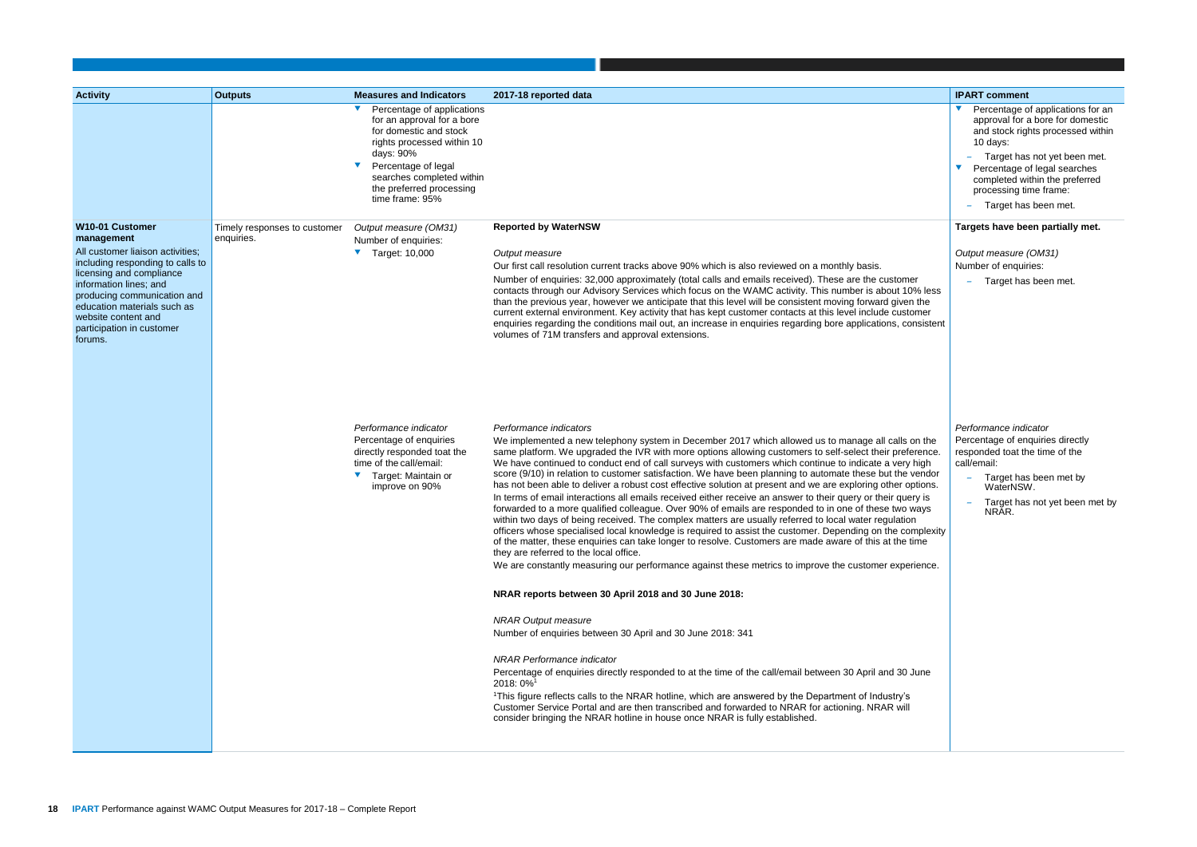|                                                                                                                          | <b>IPART comment</b>                                                                                                                                                                                                                                                       |
|--------------------------------------------------------------------------------------------------------------------------|----------------------------------------------------------------------------------------------------------------------------------------------------------------------------------------------------------------------------------------------------------------------------|
|                                                                                                                          | Percentage of applications for an<br>approval for a bore for domestic<br>and stock rights processed within<br>10 days:<br>Target has not yet been met.<br>Percentage of legal searches<br>completed within the preferred<br>processing time frame:<br>Target has been met. |
|                                                                                                                          | Targets have been partially met.                                                                                                                                                                                                                                           |
| ner<br>10% less<br>en the<br>stomer<br>consistent                                                                        | Output measure (OM31)<br>Number of enquiries:<br>Target has been met.                                                                                                                                                                                                      |
| s on the<br>eference.<br>ry high<br>e vendor<br>options.<br>uery is<br>o ways<br>ion<br>complexity<br>e time<br>erience. | Performance indicator<br>Percentage of enquiries directly<br>responded toat the time of the<br>call/email:<br>Target has been met by<br>WaterNSW.<br>Target has not yet been met by<br>NRĀR.                                                                               |
| ) June<br>'s<br>ill                                                                                                      |                                                                                                                                                                                                                                                                            |

| <b>Activity</b>                                                                                                                                                                                                                                                       | <b>Outputs</b>                             | <b>Measures and Indicators</b>                                                                                                                                                                                                   | 2017-18 reported data                                                                                                                                                                                                                                                                                                                                                                                                                                                                                                                                                                                                                                                                                                                                                                                                                                                                                                                                                                                                                                                                                                                                                                                                                                                                                                                                 | <b>IPART</b> comment                                                                                                                      |
|-----------------------------------------------------------------------------------------------------------------------------------------------------------------------------------------------------------------------------------------------------------------------|--------------------------------------------|----------------------------------------------------------------------------------------------------------------------------------------------------------------------------------------------------------------------------------|-------------------------------------------------------------------------------------------------------------------------------------------------------------------------------------------------------------------------------------------------------------------------------------------------------------------------------------------------------------------------------------------------------------------------------------------------------------------------------------------------------------------------------------------------------------------------------------------------------------------------------------------------------------------------------------------------------------------------------------------------------------------------------------------------------------------------------------------------------------------------------------------------------------------------------------------------------------------------------------------------------------------------------------------------------------------------------------------------------------------------------------------------------------------------------------------------------------------------------------------------------------------------------------------------------------------------------------------------------|-------------------------------------------------------------------------------------------------------------------------------------------|
|                                                                                                                                                                                                                                                                       |                                            | Percentage of applications<br>for an approval for a bore<br>for domestic and stock<br>rights processed within 10<br>days: 90%<br>Percentage of legal<br>searches completed within<br>the preferred processing<br>time frame: 95% |                                                                                                                                                                                                                                                                                                                                                                                                                                                                                                                                                                                                                                                                                                                                                                                                                                                                                                                                                                                                                                                                                                                                                                                                                                                                                                                                                       | Percentage o<br>approval for a<br>and stock rig<br>10 days:<br>Target has<br>Percentage o<br>completed wi<br>processing til<br>Target has |
| W10-01 Customer                                                                                                                                                                                                                                                       | Timely responses to customer<br>enquiries. | Output measure (OM31)                                                                                                                                                                                                            | <b>Reported by WaterNSW</b>                                                                                                                                                                                                                                                                                                                                                                                                                                                                                                                                                                                                                                                                                                                                                                                                                                                                                                                                                                                                                                                                                                                                                                                                                                                                                                                           | <b>Targets have be</b>                                                                                                                    |
| management<br>All customer liaison activities;<br>including responding to calls to<br>licensing and compliance<br>information lines; and<br>producing communication and<br>education materials such as<br>website content and<br>participation in customer<br>forums. |                                            | Number of enquiries:<br>Target: 10,000                                                                                                                                                                                           | Output measure<br>Our first call resolution current tracks above 90% which is also reviewed on a monthly basis.<br>Number of enquiries: 32,000 approximately (total calls and emails received). These are the customer<br>contacts through our Advisory Services which focus on the WAMC activity. This number is about 10% less<br>than the previous year, however we anticipate that this level will be consistent moving forward given the<br>current external environment. Key activity that has kept customer contacts at this level include customer<br>enquiries regarding the conditions mail out, an increase in enquiries regarding bore applications, consistent<br>volumes of 71M transfers and approval extensions.                                                                                                                                                                                                                                                                                                                                                                                                                                                                                                                                                                                                                      | Output measure<br>Number of enquir<br>Target has                                                                                          |
|                                                                                                                                                                                                                                                                       |                                            | Performance indicator<br>Percentage of enquiries<br>directly responded toat the<br>time of the call/email:<br>Target: Maintain or<br>improve on 90%                                                                              | Performance indicators<br>We implemented a new telephony system in December 2017 which allowed us to manage all calls on the<br>same platform. We upgraded the IVR with more options allowing customers to self-select their preference.<br>We have continued to conduct end of call surveys with customers which continue to indicate a very high<br>score (9/10) in relation to customer satisfaction. We have been planning to automate these but the vendor<br>has not been able to deliver a robust cost effective solution at present and we are exploring other options.<br>In terms of email interactions all emails received either receive an answer to their query or their query is<br>forwarded to a more qualified colleague. Over 90% of emails are responded to in one of these two ways<br>within two days of being received. The complex matters are usually referred to local water regulation<br>officers whose specialised local knowledge is required to assist the customer. Depending on the complexity<br>of the matter, these enquiries can take longer to resolve. Customers are made aware of this at the time<br>they are referred to the local office.<br>We are constantly measuring our performance against these metrics to improve the customer experience.<br>NRAR reports between 30 April 2018 and 30 June 2018: | Performance indi<br>Percentage of en<br>responded toat th<br>call/email:<br>Target has<br>WaterNSV<br>Target has<br>NRĀR.                 |
|                                                                                                                                                                                                                                                                       |                                            |                                                                                                                                                                                                                                  | <b>NRAR Output measure</b><br>Number of enquiries between 30 April and 30 June 2018: 341<br><b>NRAR Performance indicator</b><br>Percentage of enquiries directly responded to at the time of the call/email between 30 April and 30 June<br>2018: 0% <sup>1</sup><br><sup>1</sup> This figure reflects calls to the NRAR hotline, which are answered by the Department of Industry's<br>Customer Service Portal and are then transcribed and forwarded to NRAR for actioning. NRAR will<br>consider bringing the NRAR hotline in house once NRAR is fully established.                                                                                                                                                                                                                                                                                                                                                                                                                                                                                                                                                                                                                                                                                                                                                                               |                                                                                                                                           |